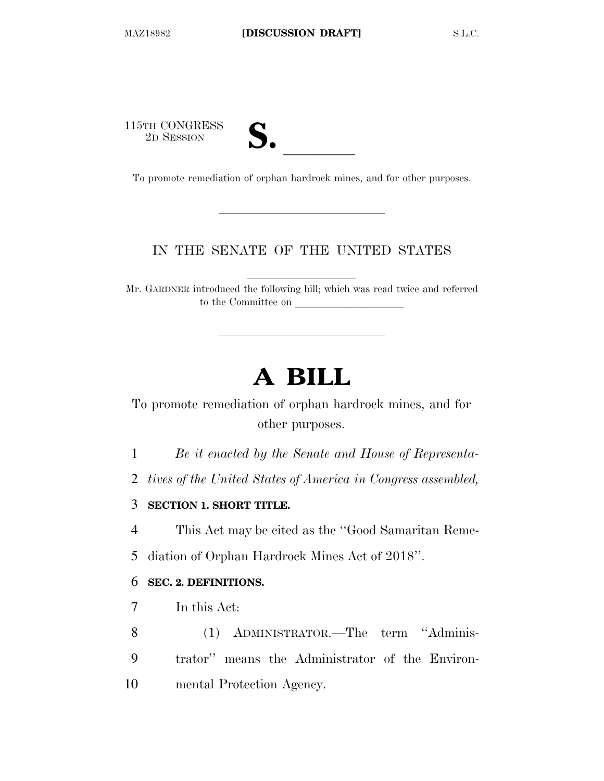115TH CONGRESS **S. letter** 2D SESSION **S.** 

| 7 €<br>١ |  |
|----------|--|
|          |  |

To promote remediation of orphan hardrock mines, and for other purposes.

## IN THE SENATE OF THE UNITED STATES

llllllllll

Mr. GARDNER introduced the following bill; which was read twice and referred to the Committee on

# **A BILL**

To promote remediation of orphan hardrock mines, and for other purposes.

1 *Be it enacted by the Senate and House of Representa-*

2 *tives of the United States of America in Congress assembled,* 

3 **SECTION 1. SHORT TITLE.** 

4 This Act may be cited as the ''Good Samaritan Reme-5 diation of Orphan Hardrock Mines Act of 2018''.

### 6 **SEC. 2. DEFINITIONS.**

7 In this Act:

8 (1) ADMINISTRATOR.—The term ''Adminis-9 trator'' means the Administrator of the Environ-10 mental Protection Agency.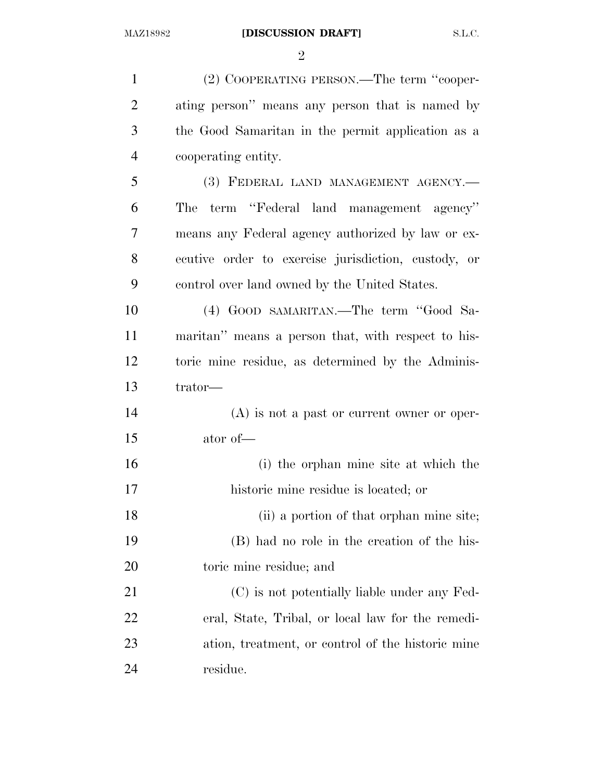$\mathfrak{D}$ 

 (2) COOPERATING PERSON.—The term ''cooper- ating person'' means any person that is named by the Good Samaritan in the permit application as a cooperating entity. (3) FEDERAL LAND MANAGEMENT AGENCY.— The term ''Federal land management agency'' means any Federal agency authorized by law or ex- ecutive order to exercise jurisdiction, custody, or control over land owned by the United States. (4) GOOD SAMARITAN.—The term ''Good Sa- maritan'' means a person that, with respect to his- toric mine residue, as determined by the Adminis- trator— (A) is not a past or current owner or oper- ator of— (i) the orphan mine site at which the historic mine residue is located; or (ii) a portion of that orphan mine site; (B) had no role in the creation of the his- toric mine residue; and (C) is not potentially liable under any Fed- eral, State, Tribal, or local law for the remedi- ation, treatment, or control of the historic mine residue.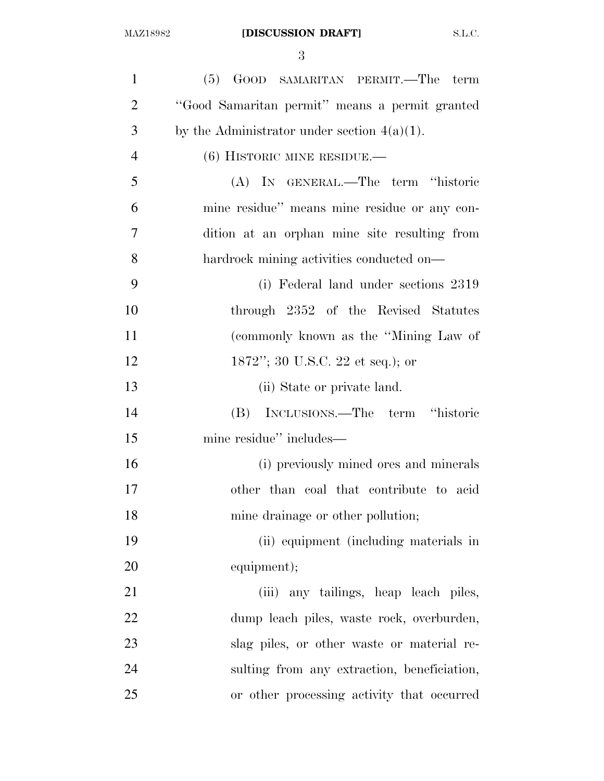| $\mathbf{1}$   | (5) GOOD SAMARITAN PERMIT.—The term            |
|----------------|------------------------------------------------|
| $\overline{2}$ | "Good Samaritan permit" means a permit granted |
| 3              | by the Administrator under section $4(a)(1)$ . |
| $\overline{4}$ | $(6)$ HISTORIC MINE RESIDUE.—                  |
| 5              | (A) IN GENERAL.—The term "historic             |
| 6              | mine residue" means mine residue or any con-   |
| $\overline{7}$ | dition at an orphan mine site resulting from   |
| 8              | hardrock mining activities conducted on—       |
| 9              | (i) Federal land under sections 2319           |
| 10             | through 2352 of the Revised Statutes           |
| 11             | (commonly known as the "Mining Law of          |
| 12             | 1872"; 30 U.S.C. 22 et seq.); or               |
| 13             | (ii) State or private land.                    |
| 14             | (B) INCLUSIONS.—The term "historic             |
| 15             | mine residue" includes—                        |
| 16             | (i) previously mined ores and minerals         |
| 17             | other than coal that contribute to acid        |
| 18             | mine drainage or other pollution;              |
| 19             | (ii) equipment (including materials in         |
| 20             | equipment);                                    |
| 21             | (iii) any tailings, heap leach piles,          |
| 22             | dump leach piles, waste rock, overburden,      |
| 23             | slag piles, or other waste or material re-     |
| 24             | sulting from any extraction, beneficiation,    |
| 25             | or other processing activity that occurred     |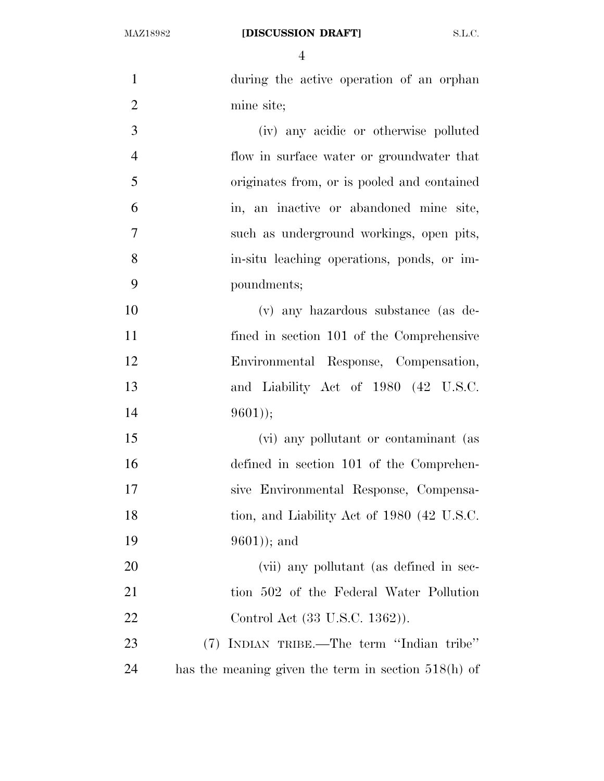| $\mathbf{1}$   | during the active operation of an orphan              |
|----------------|-------------------------------------------------------|
| $\overline{2}$ | mine site;                                            |
| 3              | (iv) any acidic or otherwise polluted                 |
| $\overline{4}$ | flow in surface water or groundwater that             |
| 5              | originates from, or is pooled and contained           |
| 6              | in, an inactive or abandoned mine site,               |
| $\tau$         | such as underground workings, open pits,              |
| 8              | in-situ leaching operations, ponds, or im-            |
| 9              | poundments;                                           |
| 10             | (v) any hazardous substance (as de-                   |
| 11             | fined in section 101 of the Comprehensive             |
| 12             | Environmental Response, Compensation,                 |
| 13             | and Liability Act of 1980 (42 U.S.C.                  |
| 14             | $9601$ );                                             |
| 15             | (vi) any pollutant or contaminant (as                 |
| 16             | defined in section 101 of the Comprehen-              |
| 17             | sive Environmental Response, Compensa-                |
| 18             | tion, and Liability Act of 1980 (42 U.S.C.            |
| 19             | $(9601)$ ; and                                        |
| 20             | (vii) any pollutant (as defined in sec-               |
| 21             | tion 502 of the Federal Water Pollution               |
| 22             | Control Act (33 U.S.C. 1362)).                        |
| 23             | (7) INDIAN TRIBE.—The term "Indian tribe"             |
| 24             | has the meaning given the term in section $518(h)$ of |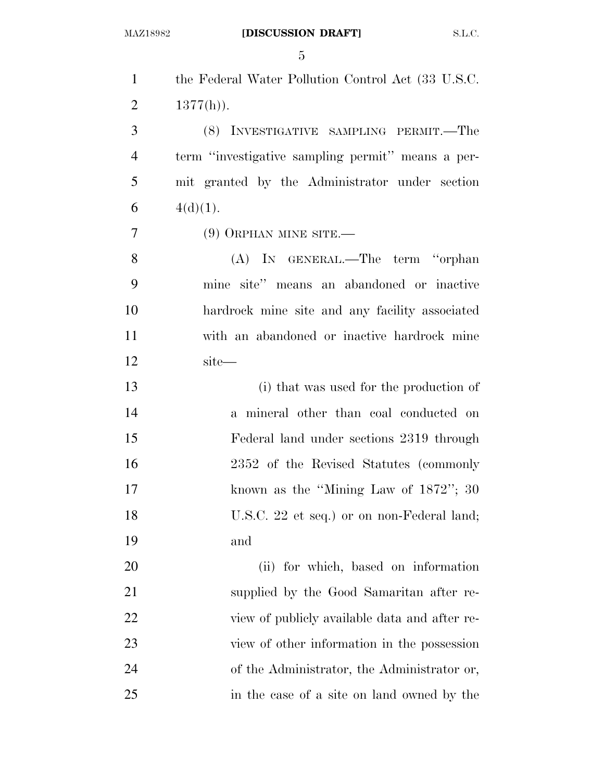| $\mathbf{1}$   | the Federal Water Pollution Control Act (33 U.S.C. |
|----------------|----------------------------------------------------|
| $\overline{2}$ | $1377(h)$ ).                                       |
| 3              | (8) INVESTIGATIVE SAMPLING PERMIT.—The             |
| $\overline{4}$ | term "investigative sampling permit" means a per-  |
| 5              | mit granted by the Administrator under section     |
| 6              | $4(d)(1)$ .                                        |
| $\overline{7}$ | $(9)$ ORPHAN MINE SITE.—                           |
| 8              | (A) IN GENERAL.—The term "orphan                   |
| 9              | mine site" means an abandoned or inactive          |
| 10             | hardrock mine site and any facility associated     |
| 11             | with an abandoned or inactive hardrock mine        |
| 12             | site—                                              |
| 13             | (i) that was used for the production of            |
| 14             | a mineral other than coal conducted on             |
| 15             | Federal land under sections 2319 through           |
| 16             | 2352 of the Revised Statutes (commonly             |
| 17             | known as the "Mining Law of $1872$ "; 30           |
| 18             | U.S.C. 22 et seq.) or on non-Federal land;         |
| 19             | and                                                |
| 20             | (ii) for which, based on information               |
| 21             | supplied by the Good Samaritan after re-           |
| 22             | view of publicly available data and after re-      |
| 23             | view of other information in the possession        |
| 24             | of the Administrator, the Administrator or,        |
| 25             | in the case of a site on land owned by the         |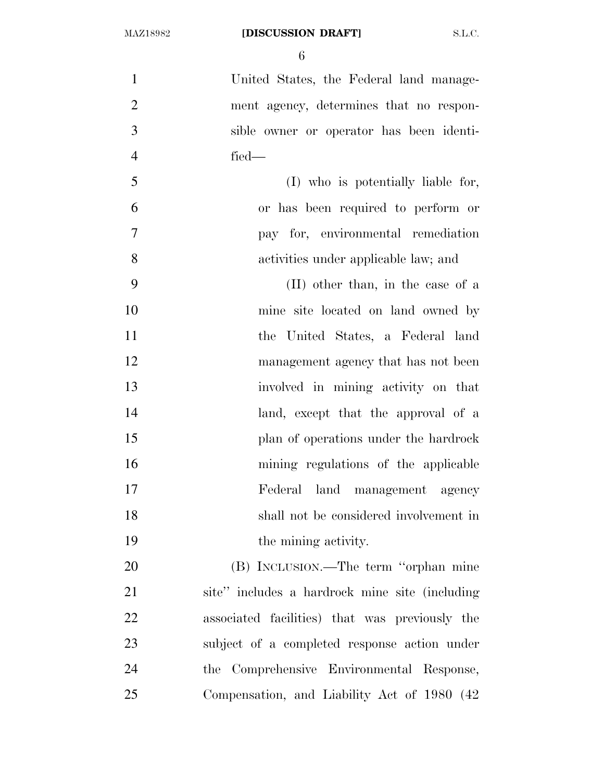United States, the Federal land manage- ment agency, determines that no respon- sible owner or operator has been identi- fied— (I) who is potentially liable for, or has been required to perform or pay for, environmental remediation activities under applicable law; and (II) other than, in the case of a mine site located on land owned by the United States, a Federal land 12 management agency that has not been involved in mining activity on that 14 land, except that the approval of a plan of operations under the hardrock mining regulations of the applicable Federal land management agency shall not be considered involvement in 19 the mining activity. (B) INCLUSION.—The term ''orphan mine site'' includes a hardrock mine site (including associated facilities) that was previously the subject of a completed response action under the Comprehensive Environmental Response, Compensation, and Liability Act of 1980 (42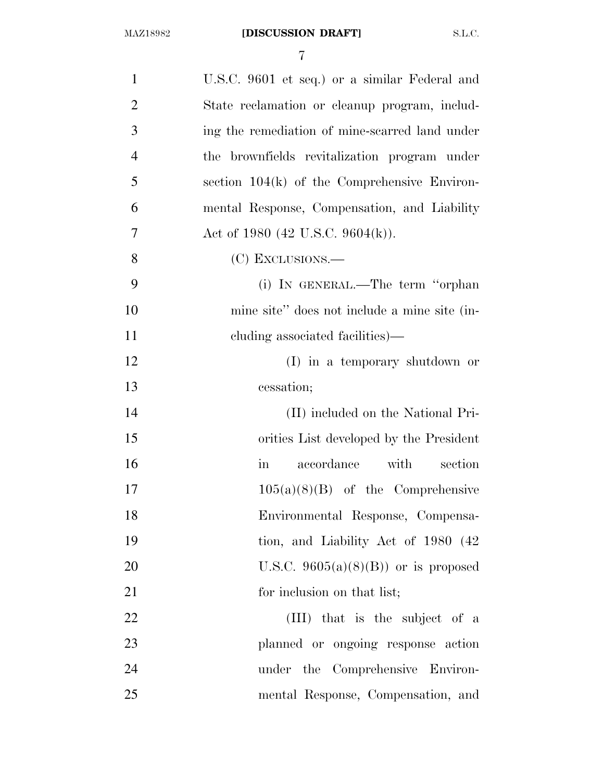| $\mathbf{1}$   | U.S.C. 9601 et seq.) or a similar Federal and     |
|----------------|---------------------------------------------------|
| $\overline{2}$ | State reclamation or cleanup program, includ-     |
| 3              | ing the remediation of mine-scarred land under    |
| $\overline{4}$ | the brownfields revitalization program under      |
| 5              | section $104(k)$ of the Comprehensive Environ-    |
| 6              | mental Response, Compensation, and Liability      |
| 7              | Act of 1980 (42 U.S.C. 9604(k)).                  |
| 8              | (C) EXCLUSIONS.—                                  |
| 9              | (i) IN GENERAL.—The term "orphan                  |
| 10             | mine site" does not include a mine site (in-      |
| 11             | eluding associated facilities)—                   |
| 12             | (I) in a temporary shutdown or                    |
| 13             | cessation;                                        |
| 14             | (II) included on the National Pri-                |
| 15             | orities List developed by the President           |
| 16             | accordance with<br>section<br>$\operatorname{in}$ |
| 17             | $105(a)(8)(B)$ of the Comprehensive               |
| 18             | Environmental Response, Compensa-                 |
| 19             | tion, and Liability Act of 1980 (42)              |
| 20             | U.S.C. $9605(a)(8)(B)$ or is proposed             |
| 21             | for inclusion on that list;                       |
| 22             | (III) that is the subject of a                    |
| 23             | planned or ongoing response action                |
| 24             | under the Comprehensive Environ-                  |
| 25             | mental Response, Compensation, and                |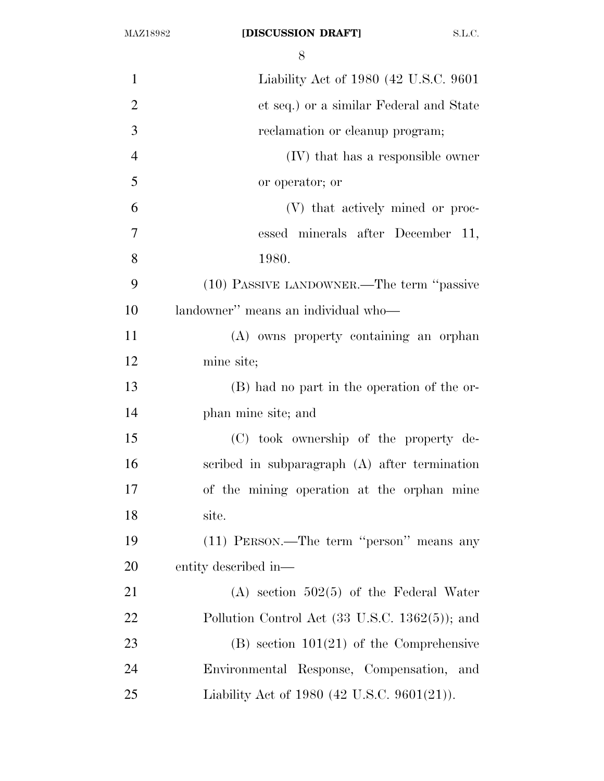| $\mathbf{1}$   | Liability Act of 1980 (42 U.S.C. 9601)                     |
|----------------|------------------------------------------------------------|
| $\overline{2}$ | et seq.) or a similar Federal and State                    |
| 3              | reclamation or cleanup program;                            |
| $\overline{4}$ | (IV) that has a responsible owner                          |
| 5              | or operator; or                                            |
| 6              | (V) that actively mined or proc-                           |
| 7              | essed minerals after December 11,                          |
| 8              | 1980.                                                      |
| 9              | (10) PASSIVE LANDOWNER.—The term "passive                  |
| 10             | landowner" means an individual who-                        |
| 11             | (A) owns property containing an orphan                     |
| 12             | mine site;                                                 |
| 13             | (B) had no part in the operation of the or-                |
| 14             | phan mine site; and                                        |
| 15             | (C) took ownership of the property de-                     |
| 16             | scribed in subparagraph (A) after termination              |
| 17             | of the mining operation at the orphan mine                 |
| 18             | site.                                                      |
| 19             | (11) PERSON.—The term "person" means any                   |
| 20             | entity described in—                                       |
| 21             | $(A)$ section 502(5) of the Federal Water                  |
| 22             | Pollution Control Act $(33 \text{ U.S.C. } 1362(5))$ ; and |
| 23             | $(B)$ section 101(21) of the Comprehensive                 |
| 24             | Environmental Response, Compensation, and                  |
| 25             | Liability Act of 1980 (42 U.S.C. 9601(21)).                |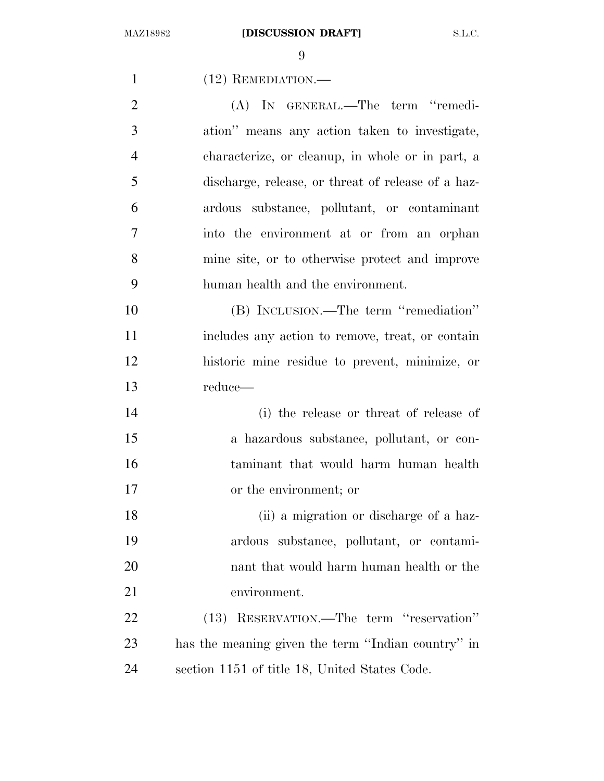1 (12) REMEDIATION.— (A) IN GENERAL.—The term ''remedi- ation'' means any action taken to investigate, characterize, or cleanup, in whole or in part, a discharge, release, or threat of release of a haz- ardous substance, pollutant, or contaminant into the environment at or from an orphan mine site, or to otherwise protect and improve human health and the environment. (B) INCLUSION.—The term ''remediation'' includes any action to remove, treat, or contain historic mine residue to prevent, minimize, or reduce— (i) the release or threat of release of a hazardous substance, pollutant, or con- taminant that would harm human health or the environment; or (ii) a migration or discharge of a haz- ardous substance, pollutant, or contami- nant that would harm human health or the environment. (13) RESERVATION.—The term ''reservation'' has the meaning given the term ''Indian country'' in section 1151 of title 18, United States Code.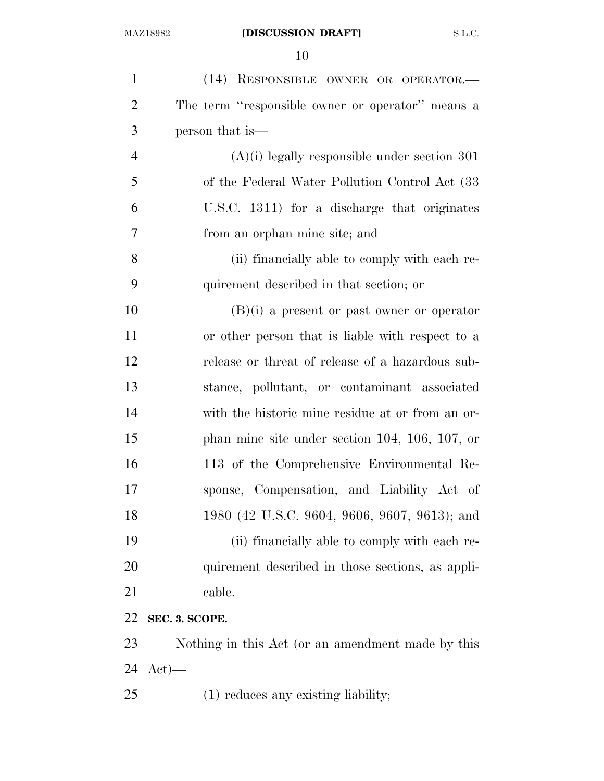| $\mathbf{1}$   | (14) RESPONSIBLE OWNER OR OPERATOR.-              |
|----------------|---------------------------------------------------|
| $\overline{2}$ | The term "responsible owner or operator" means a  |
| 3              | person that is—                                   |
| $\overline{4}$ | $(A)(i)$ legally responsible under section 301    |
| 5              | of the Federal Water Pollution Control Act (33)   |
| 6              | U.S.C. 1311) for a discharge that originates      |
| $\tau$         | from an orphan mine site; and                     |
| 8              | (ii) financially able to comply with each re-     |
| 9              | quirement described in that section; or           |
| 10             | $(B)(i)$ a present or past owner or operator      |
| 11             | or other person that is liable with respect to a  |
| 12             | release or threat of release of a hazardous sub-  |
| 13             | stance, pollutant, or contaminant associated      |
| 14             | with the historic mine residue at or from an or-  |
| 15             | phan mine site under section $104, 106, 107, or$  |
| 16             | 113 of the Comprehensive Environmental Re-        |
| 17             | sponse, Compensation, and Liability Act of        |
| 18             | 1980 (42 U.S.C. 9604, 9606, 9607, 9613); and      |
| 19             | (ii) financially able to comply with each re-     |
| 20             | quirement described in those sections, as appli-  |
| 21             | cable.                                            |
| 22             | SEC. 3. SCOPE.                                    |
| 23             | Nothing in this Act (or an amendment made by this |
| 24             | $Act)$ —                                          |
| 25             | $(1)$ reduces any existing liability;             |
|                |                                                   |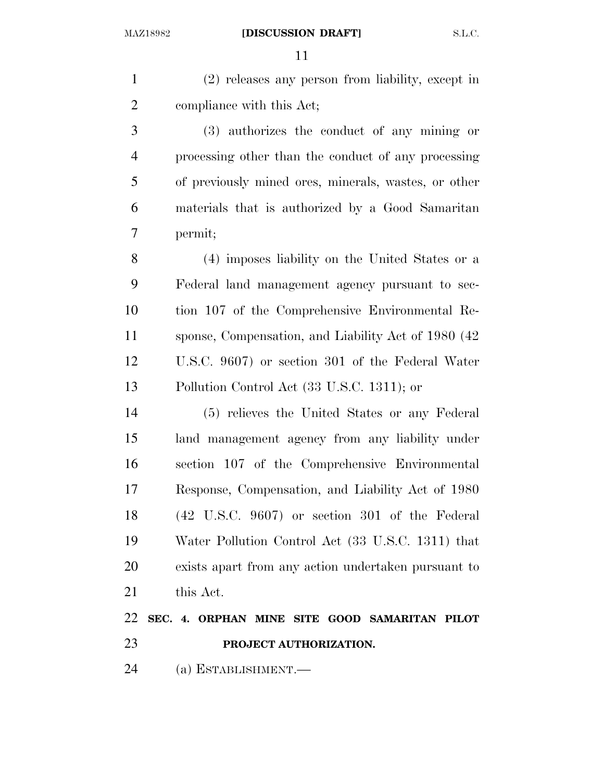(2) releases any person from liability, except in compliance with this Act;

 (3) authorizes the conduct of any mining or processing other than the conduct of any processing of previously mined ores, minerals, wastes, or other materials that is authorized by a Good Samaritan permit;

 (4) imposes liability on the United States or a Federal land management agency pursuant to sec- tion 107 of the Comprehensive Environmental Re- sponse, Compensation, and Liability Act of 1980 (42 U.S.C. 9607) or section 301 of the Federal Water Pollution Control Act (33 U.S.C. 1311); or

 (5) relieves the United States or any Federal land management agency from any liability under section 107 of the Comprehensive Environmental Response, Compensation, and Liability Act of 1980 (42 U.S.C. 9607) or section 301 of the Federal Water Pollution Control Act (33 U.S.C. 1311) that exists apart from any action undertaken pursuant to this Act.

## **SEC. 4. ORPHAN MINE SITE GOOD SAMARITAN PILOT PROJECT AUTHORIZATION.**

(a) ESTABLISHMENT.—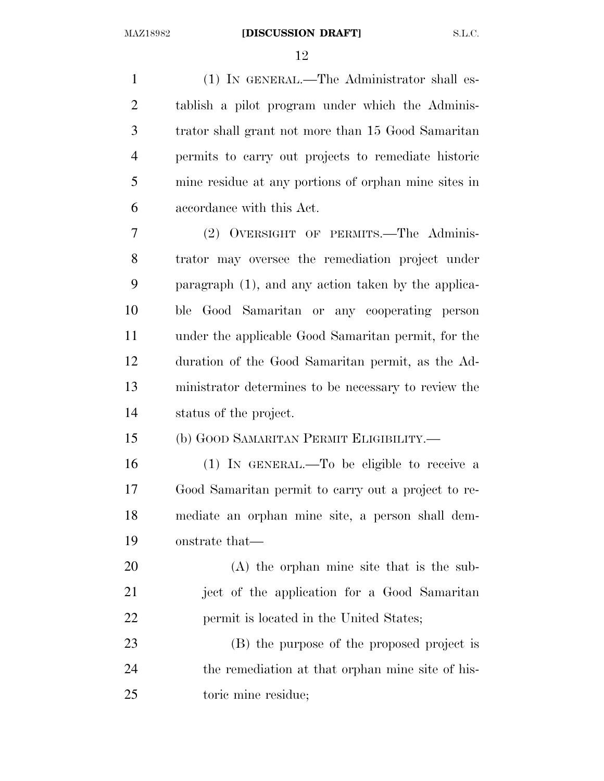(1) IN GENERAL.—The Administrator shall es- tablish a pilot program under which the Adminis- trator shall grant not more than 15 Good Samaritan permits to carry out projects to remediate historic mine residue at any portions of orphan mine sites in accordance with this Act.

 (2) OVERSIGHT OF PERMITS.—The Adminis- trator may oversee the remediation project under paragraph (1), and any action taken by the applica- ble Good Samaritan or any cooperating person under the applicable Good Samaritan permit, for the duration of the Good Samaritan permit, as the Ad- ministrator determines to be necessary to review the status of the project.

## (b) GOOD SAMARITAN PERMIT ELIGIBILITY.—

 (1) IN GENERAL.—To be eligible to receive a Good Samaritan permit to carry out a project to re- mediate an orphan mine site, a person shall dem-onstrate that—

 (A) the orphan mine site that is the sub- ject of the application for a Good Samaritan 22 permit is located in the United States;

 (B) the purpose of the proposed project is 24 the remediation at that orphan mine site of his-toric mine residue;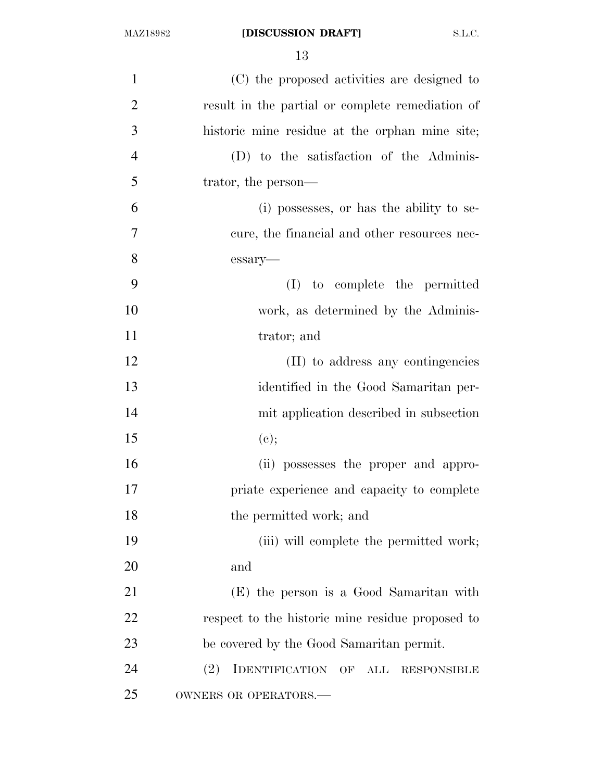| $\mathbf{1}$   | (C) the proposed activities are designed to        |
|----------------|----------------------------------------------------|
| $\overline{2}$ | result in the partial or complete remediation of   |
| 3              | historic mine residue at the orphan mine site;     |
| $\overline{4}$ | (D) to the satisfaction of the Adminis-            |
| 5              | trator, the person—                                |
| 6              | (i) possesses, or has the ability to se-           |
| 7              | cure, the financial and other resources nec-       |
| 8              | essary-                                            |
| 9              | (I) to complete the permitted                      |
| 10             | work, as determined by the Adminis-                |
| 11             | trator; and                                        |
| 12             | (II) to address any contingencies                  |
| 13             | identified in the Good Samaritan per-              |
| 14             | mit application described in subsection            |
| 15             | (e);                                               |
| 16             | (ii) possesses the proper and appro-               |
| 17             | priate experience and capacity to complete         |
| 18             | the permitted work; and                            |
| 19             | (iii) will complete the permitted work;            |
| 20             | and                                                |
| 21             | (E) the person is a Good Samaritan with            |
| 22             | respect to the historic mine residue proposed to   |
| 23             | be covered by the Good Samaritan permit.           |
| 24             | IDENTIFICATION OF ALL<br>(2)<br><b>RESPONSIBLE</b> |
| 25             | OWNERS OR OPERATORS.-                              |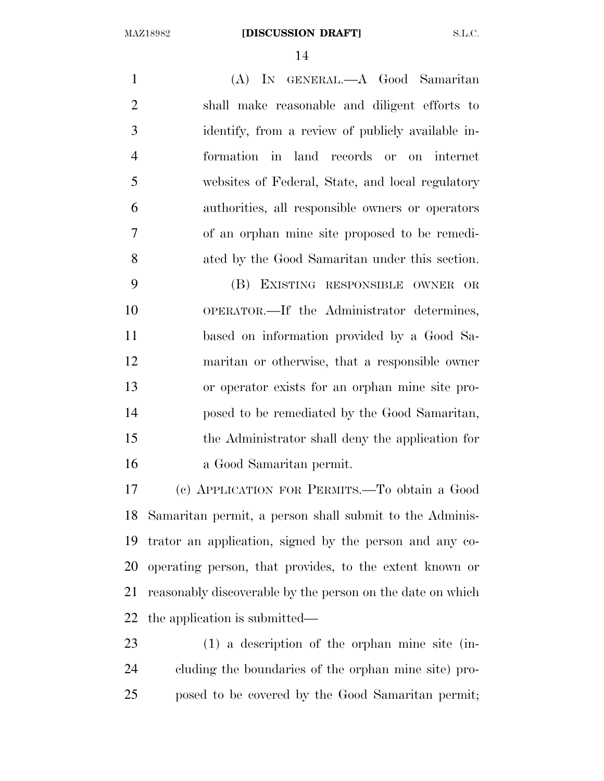(A) IN GENERAL.—A Good Samaritan shall make reasonable and diligent efforts to identify, from a review of publicly available in- formation in land records or on internet websites of Federal, State, and local regulatory authorities, all responsible owners or operators of an orphan mine site proposed to be remedi-ated by the Good Samaritan under this section.

 (B) EXISTING RESPONSIBLE OWNER OR OPERATOR.—If the Administrator determines, based on information provided by a Good Sa- maritan or otherwise, that a responsible owner or operator exists for an orphan mine site pro- posed to be remediated by the Good Samaritan, the Administrator shall deny the application for a Good Samaritan permit.

 (c) APPLICATION FOR PERMITS.—To obtain a Good Samaritan permit, a person shall submit to the Adminis- trator an application, signed by the person and any co- operating person, that provides, to the extent known or reasonably discoverable by the person on the date on which the application is submitted—

 (1) a description of the orphan mine site (in- cluding the boundaries of the orphan mine site) pro-posed to be covered by the Good Samaritan permit;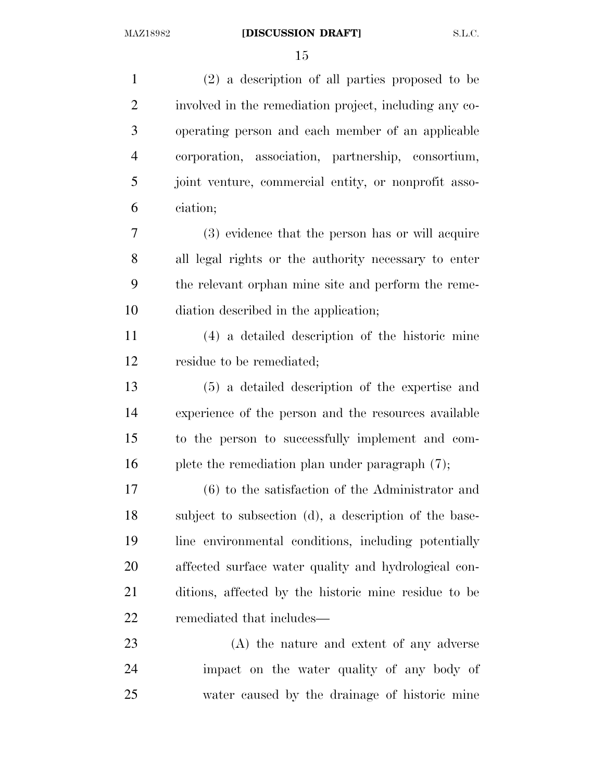(2) a description of all parties proposed to be involved in the remediation project, including any co- operating person and each member of an applicable corporation, association, partnership, consortium, joint venture, commercial entity, or nonprofit asso- ciation; (3) evidence that the person has or will acquire all legal rights or the authority necessary to enter the relevant orphan mine site and perform the reme- diation described in the application; (4) a detailed description of the historic mine residue to be remediated; (5) a detailed description of the expertise and experience of the person and the resources available to the person to successfully implement and com-16 plete the remediation plan under paragraph (7); (6) to the satisfaction of the Administrator and subject to subsection (d), a description of the base- line environmental conditions, including potentially affected surface water quality and hydrological con- ditions, affected by the historic mine residue to be remediated that includes— (A) the nature and extent of any adverse impact on the water quality of any body of

water caused by the drainage of historic mine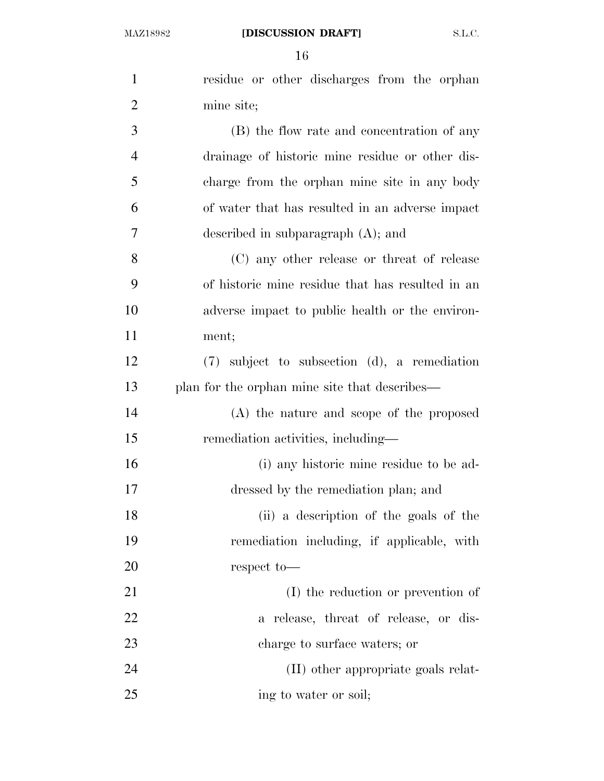| $\mathbf{1}$   | residue or other discharges from the orphan       |
|----------------|---------------------------------------------------|
| $\overline{2}$ | mine site;                                        |
| 3              | (B) the flow rate and concentration of any        |
| $\overline{4}$ | drainage of historic mine residue or other dis-   |
| 5              | charge from the orphan mine site in any body      |
| 6              | of water that has resulted in an adverse impact   |
| 7              | described in subparagraph $(A)$ ; and             |
| 8              | (C) any other release or threat of release        |
| 9              | of historic mine residue that has resulted in an  |
| 10             | adverse impact to public health or the environ-   |
| 11             | ment;                                             |
| 12             | $(7)$ subject to subsection $(d)$ , a remediation |
| 13             | plan for the orphan mine site that describes—     |
| 14             | (A) the nature and scope of the proposed          |
| 15             | remediation activities, including—                |
| 16             | (i) any historic mine residue to be ad-           |
| 17             | dressed by the remediation plan; and              |
| 18             | (ii) a description of the goals of the            |
| 19             | remediation including, if applicable, with        |
| 20             | respect to-                                       |
| 21             | (I) the reduction or prevention of                |
| 22             | a release, threat of release, or dis-             |
| 23             | charge to surface waters; or                      |
| 24             | (II) other appropriate goals relat-               |
| 25             | ing to water or soil;                             |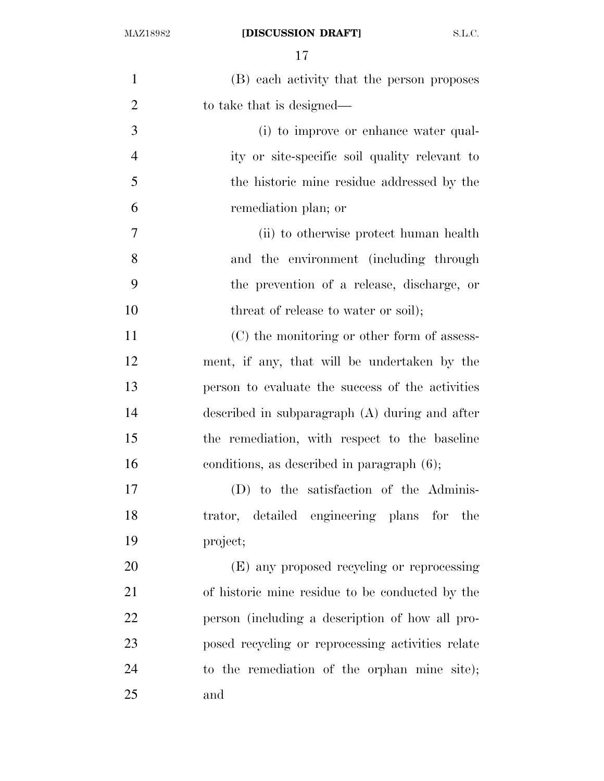## MAZ18982 **[DISCUSSION DRAFT]** S.L.C.

| $\mathbf{1}$   | (B) each activity that the person proposes        |
|----------------|---------------------------------------------------|
| $\overline{2}$ | to take that is designed—                         |
| 3              | (i) to improve or enhance water qual-             |
| 4              | ity or site-specific soil quality relevant to     |
| 5              | the historic mine residue addressed by the        |
| 6              | remediation plan; or                              |
| 7              | (ii) to otherwise protect human health            |
| 8              | and the environment (including through            |
| 9              | the prevention of a release, discharge, or        |
| 10             | threat of release to water or soil);              |
| 11             | (C) the monitoring or other form of assess-       |
| 12             | ment, if any, that will be undertaken by the      |
| 13             | person to evaluate the success of the activities  |
| 14             | described in subparagraph $(A)$ during and after  |
| 15             | the remediation, with respect to the baseline     |
| 16             | conditions, as described in paragraph $(6)$ ;     |
| 17             | (D) to the satisfaction of the Adminis-           |
| 18             | trator, detailed engineering plans for the        |
| 19             | project;                                          |
| 20             | (E) any proposed recycling or reprocessing        |
| 21             | of historic mine residue to be conducted by the   |
| 22             | person (including a description of how all pro-   |
| 23             | posed recycling or reprocessing activities relate |
| 24             | to the remediation of the orphan mine site);      |
| 25             | and                                               |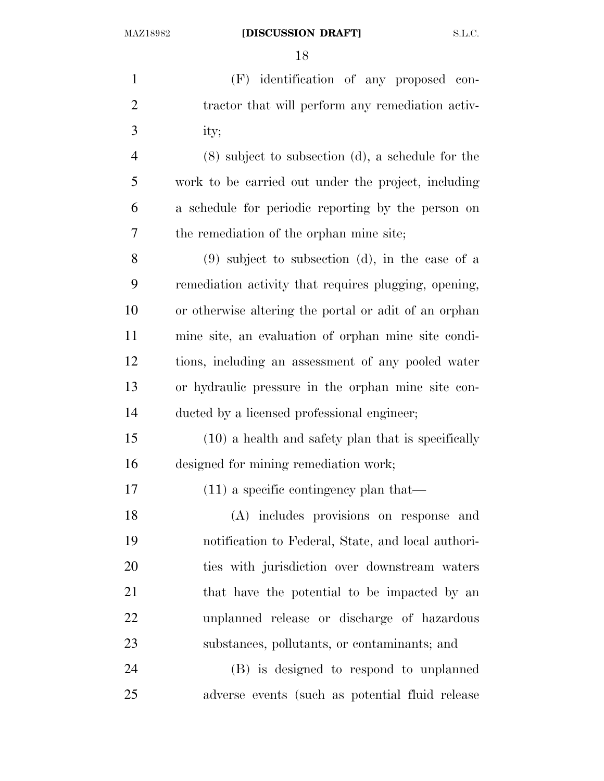(F) identification of any proposed con-2 tractor that will perform any remediation activ- ity; (8) subject to subsection (d), a schedule for the work to be carried out under the project, including a schedule for periodic reporting by the person on the remediation of the orphan mine site; (9) subject to subsection (d), in the case of a remediation activity that requires plugging, opening, or otherwise altering the portal or adit of an orphan mine site, an evaluation of orphan mine site condi- tions, including an assessment of any pooled water or hydraulic pressure in the orphan mine site con- ducted by a licensed professional engineer; (10) a health and safety plan that is specifically designed for mining remediation work; (11) a specific contingency plan that— (A) includes provisions on response and notification to Federal, State, and local authori- ties with jurisdiction over downstream waters 21 that have the potential to be impacted by an unplanned release or discharge of hazardous substances, pollutants, or contaminants; and (B) is designed to respond to unplanned

adverse events (such as potential fluid release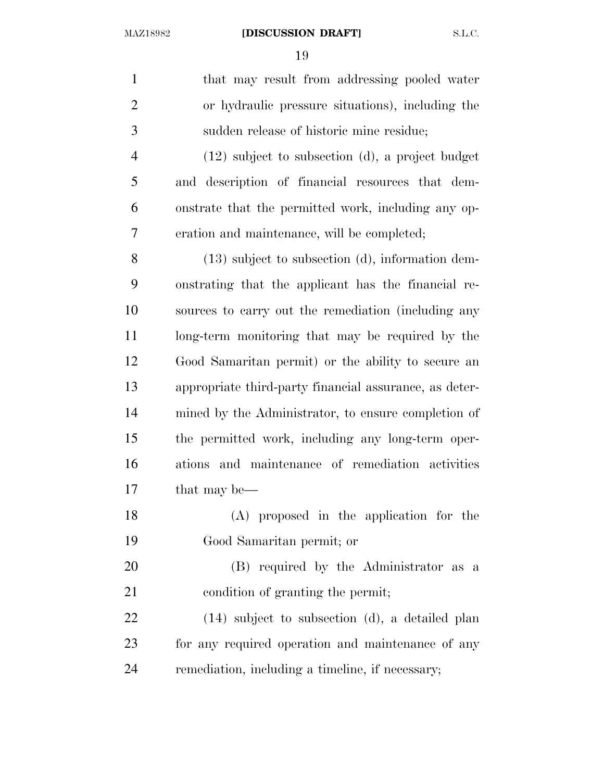| $\mathbf{1}$   | that may result from addressing pooled water           |
|----------------|--------------------------------------------------------|
| $\overline{2}$ | or hydraulic pressure situations), including the       |
| 3              | sudden release of historic mine residue;               |
| $\overline{4}$ | $(12)$ subject to subsection $(d)$ , a project budget  |
| 5              | and description of financial resources that dem-       |
| 6              | onstrate that the permitted work, including any op-    |
| 7              | eration and maintenance, will be completed;            |
| 8              | $(13)$ subject to subsection $(d)$ , information dem-  |
| 9              | onstrating that the applicant has the financial re-    |
| 10             | sources to carry out the remediation (including any    |
| 11             | long-term monitoring that may be required by the       |
| 12             | Good Samaritan permit) or the ability to secure an     |
| 13             | appropriate third-party financial assurance, as deter- |
| 14             | mined by the Administrator, to ensure completion of    |
| 15             | the permitted work, including any long-term oper-      |
| 16             | ations and maintenance of remediation activities       |
| 17             | that may be—                                           |
| 18             | (A) proposed in the application for the                |
| 19             | Good Samaritan permit; or                              |
| 20             | (B) required by the Administrator as a                 |
| 21             | condition of granting the permit;                      |
| 22             | $(14)$ subject to subsection $(d)$ , a detailed plan   |
| 23             | for any required operation and maintenance of any      |
| 24             | remediation, including a timeline, if necessary;       |
|                |                                                        |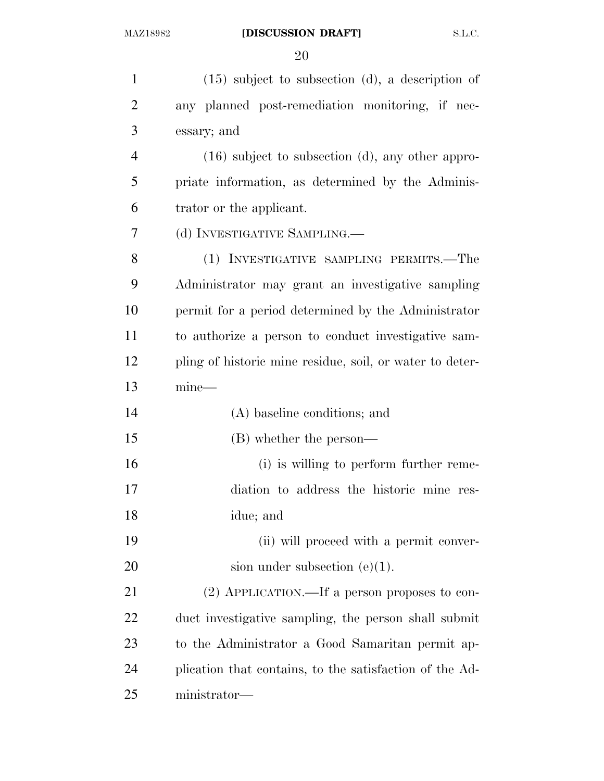## MAZ18982 **[DISCUSSION DRAFT]** S.L.C.

| $\mathbf{1}$   | $(15)$ subject to subsection (d), a description of       |
|----------------|----------------------------------------------------------|
| $\overline{2}$ | any planned post-remediation monitoring, if nec-         |
| 3              | essary; and                                              |
| $\overline{4}$ | $(16)$ subject to subsection $(d)$ , any other appro-    |
| 5              | priate information, as determined by the Adminis-        |
| 6              | trator or the applicant.                                 |
| 7              | (d) INVESTIGATIVE SAMPLING.                              |
| 8              | (1) INVESTIGATIVE SAMPLING PERMITS.—The                  |
| 9              | Administrator may grant an investigative sampling        |
| 10             | permit for a period determined by the Administrator      |
| 11             | to authorize a person to conduct investigative sam-      |
| 12             | pling of historic mine residue, soil, or water to deter- |
| 13             | $mine-$                                                  |
| 14             | (A) baseline conditions; and                             |
| 15             | (B) whether the person—                                  |
| 16             | (i) is willing to perform further reme-                  |
| 17             | diation to address the historic mine res-                |
| 18             | idue; and                                                |
| 19             | (ii) will proceed with a permit conver-                  |
| 20             | sion under subsection $(e)(1)$ .                         |
| 21             | $(2)$ APPLICATION.—If a person proposes to con-          |
| 22             | duct investigative sampling, the person shall submit     |
| 23             | to the Administrator a Good Samaritan permit ap-         |
| 24             | plication that contains, to the satisfaction of the Ad-  |
| 25             | ministrator-                                             |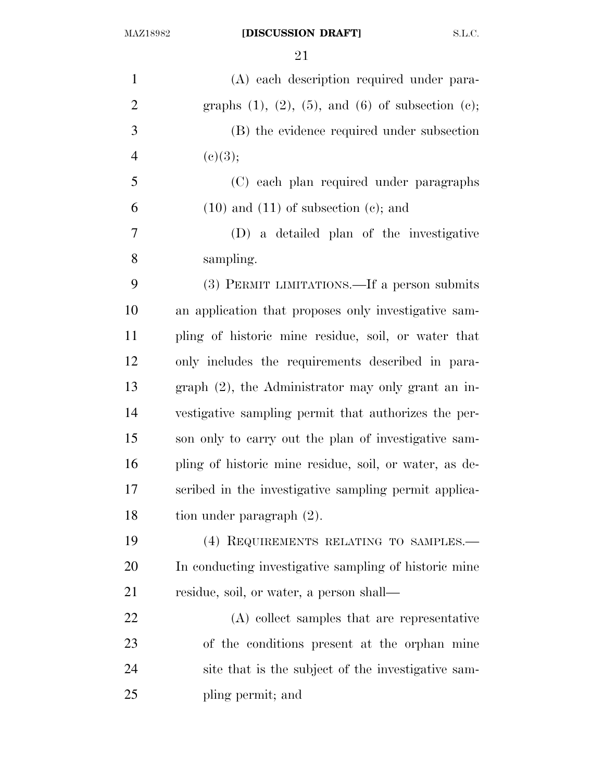| $\mathbf{1}$   | (A) each description required under para-                      |
|----------------|----------------------------------------------------------------|
| $\overline{2}$ | graphs $(1)$ , $(2)$ , $(5)$ , and $(6)$ of subsection $(e)$ ; |
| 3              | (B) the evidence required under subsection                     |
| $\overline{4}$ | (c)(3);                                                        |
| 5              | (C) each plan required under paragraphs                        |
| 6              | $(10)$ and $(11)$ of subsection $(e)$ ; and                    |
| $\tau$         | (D) a detailed plan of the investigative                       |
| 8              | sampling.                                                      |
| 9              | (3) PERMIT LIMITATIONS.—If a person submits                    |
| 10             | an application that proposes only investigative sam-           |
| 11             | pling of historic mine residue, soil, or water that            |
| 12             | only includes the requirements described in para-              |
| 13             | $graph (2)$ , the Administrator may only grant an in-          |
| 14             | vestigative sampling permit that authorizes the per-           |
| 15             | son only to carry out the plan of investigative sam-           |
| 16             | pling of historic mine residue, soil, or water, as de-         |
| 17             | scribed in the investigative sampling permit applica-          |
| 18             | tion under paragraph $(2)$ .                                   |
| 19             | (4) REQUIREMENTS RELATING TO SAMPLES.-                         |
| 20             | In conducting investigative sampling of historic mine          |
| 21             | residue, soil, or water, a person shall—                       |
| 22             | (A) collect samples that are representative                    |
| 23             | of the conditions present at the orphan mine                   |
| 24             | site that is the subject of the investigative sam-             |
| 25             | pling permit; and                                              |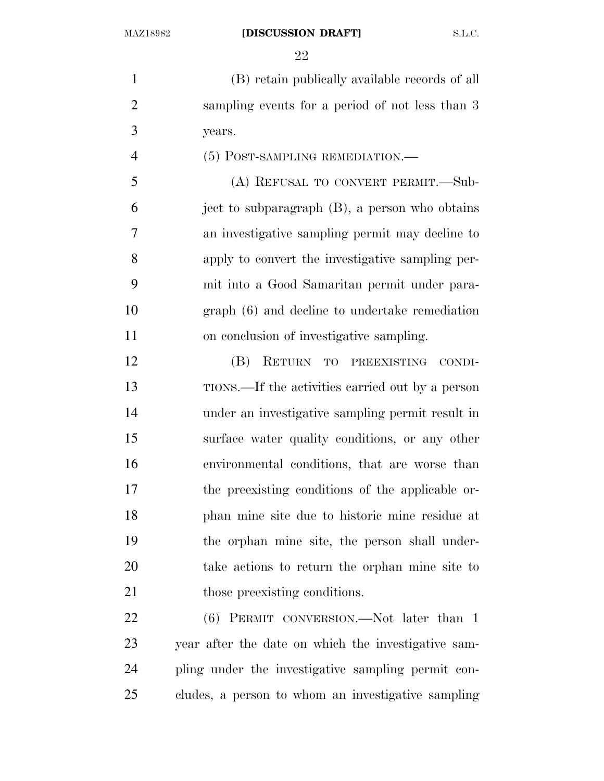#### MAZ18982 **[DISCUSSION DRAFT]** S.L.C.

 (B) retain publically available records of all sampling events for a period of not less than 3 years.

(5) POST-SAMPLING REMEDIATION.—

 (A) REFUSAL TO CONVERT PERMIT.—Sub- ject to subparagraph (B), a person who obtains an investigative sampling permit may decline to apply to convert the investigative sampling per- mit into a Good Samaritan permit under para- graph (6) and decline to undertake remediation on conclusion of investigative sampling.

 (B) RETURN TO PREEXISTING CONDI- TIONS.—If the activities carried out by a person under an investigative sampling permit result in surface water quality conditions, or any other environmental conditions, that are worse than the preexisting conditions of the applicable or- phan mine site due to historic mine residue at the orphan mine site, the person shall under- take actions to return the orphan mine site to 21 those preexisting conditions.

22 (6) PERMIT CONVERSION.—Not later than 1 year after the date on which the investigative sam- pling under the investigative sampling permit con-cludes, a person to whom an investigative sampling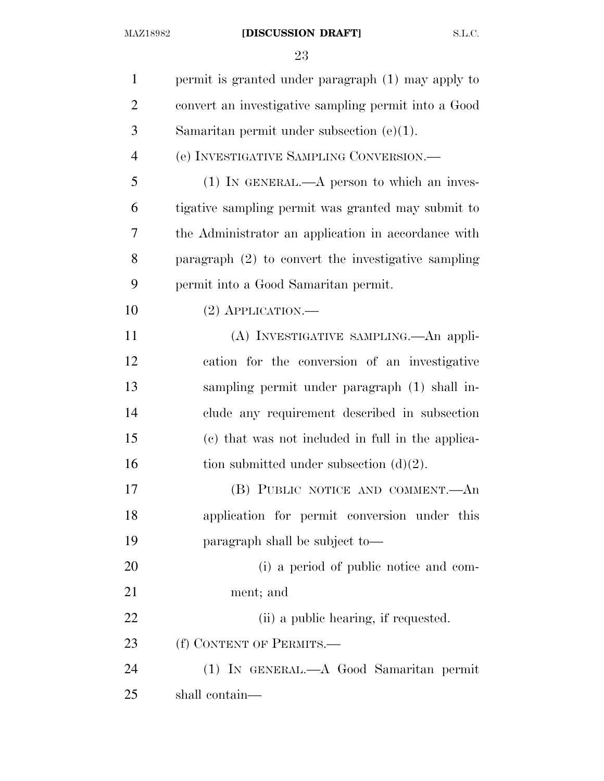## MAZ18982 **[DISCUSSION DRAFT]** S.L.C.

| $\mathbf{1}$   | permit is granted under paragraph (1) may apply to    |
|----------------|-------------------------------------------------------|
| $\overline{2}$ | convert an investigative sampling permit into a Good  |
| 3              | Samaritan permit under subsection $(e)(1)$ .          |
| $\overline{4}$ | (e) INVESTIGATIVE SAMPLING CONVERSION.—               |
| 5              | $(1)$ IN GENERAL.—A person to which an inves-         |
| 6              | tigative sampling permit was granted may submit to    |
| 7              | the Administrator an application in accordance with   |
| 8              | paragraph $(2)$ to convert the investigative sampling |
| 9              | permit into a Good Samaritan permit.                  |
| 10             | $(2)$ APPLICATION.—                                   |
| 11             | (A) INVESTIGATIVE SAMPLING. An appli-                 |
| 12             | cation for the conversion of an investigative         |
| 13             | sampling permit under paragraph (1) shall in-         |
| 14             | clude any requirement described in subsection         |
| 15             | (c) that was not included in full in the applica-     |
| 16             | tion submitted under subsection $(d)(2)$ .            |
| 17             | (B) PUBLIC NOTICE AND COMMENT.—An                     |
| 18             | application for permit conversion under this          |
| 19             | paragraph shall be subject to—                        |
| 20             | (i) a period of public notice and com-                |
| 21             | ment; and                                             |
| 22             | (ii) a public hearing, if requested.                  |
| 23             | (f) CONTENT OF PERMITS.-                              |
| 24             | (1) IN GENERAL.—A Good Samaritan permit               |
| 25             | shall contain—                                        |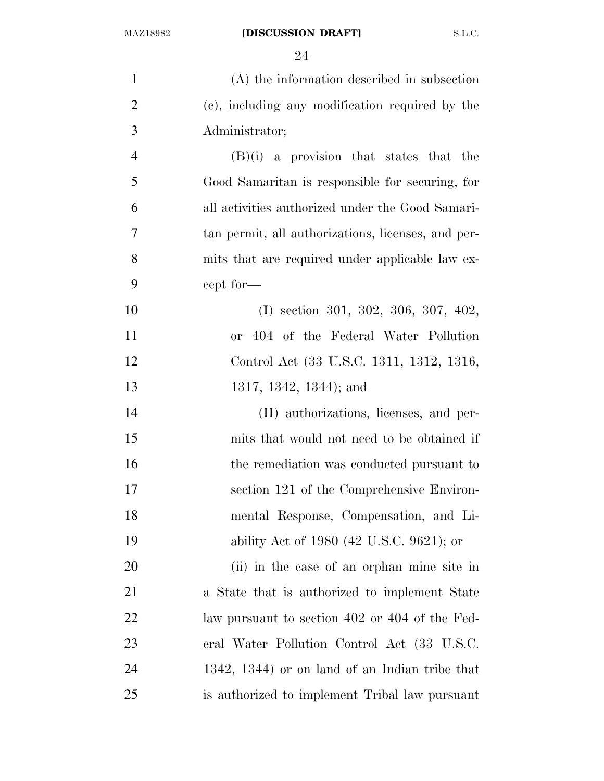| $\mathbf{1}$   | (A) the information described in subsection        |
|----------------|----------------------------------------------------|
| $\overline{2}$ | (c), including any modification required by the    |
| 3              | Administrator;                                     |
| $\overline{4}$ | $(B)(i)$ a provision that states that the          |
| 5              | Good Samaritan is responsible for securing, for    |
| 6              | all activities authorized under the Good Samari-   |
| 7              | tan permit, all authorizations, licenses, and per- |
| 8              | mits that are required under applicable law ex-    |
| 9              | cept for—                                          |
| 10             | $(I)$ section 301, 302, 306, 307, 402,             |
| 11             | or 404 of the Federal Water Pollution              |
| 12             | Control Act (33 U.S.C. 1311, 1312, 1316,           |
| 13             | 1317, 1342, 1344); and                             |
| 14             | (II) authorizations, licenses, and per-            |
| 15             | mits that would not need to be obtained if         |
| 16             | the remediation was conducted pursuant to          |
| 17             | section 121 of the Comprehensive Environ-          |
| 18             | mental Response, Compensation, and Li-             |
| 19             | ability Act of 1980 (42 U.S.C. 9621); or           |
| 20             | (ii) in the case of an orphan mine site in         |
| 21             | a State that is authorized to implement State      |
| 22             | law pursuant to section 402 or 404 of the Fed-     |
| 23             | eral Water Pollution Control Act (33 U.S.C.        |
| 24             | 1342, 1344) or on land of an Indian tribe that     |
| 25             | is authorized to implement Tribal law pursuant     |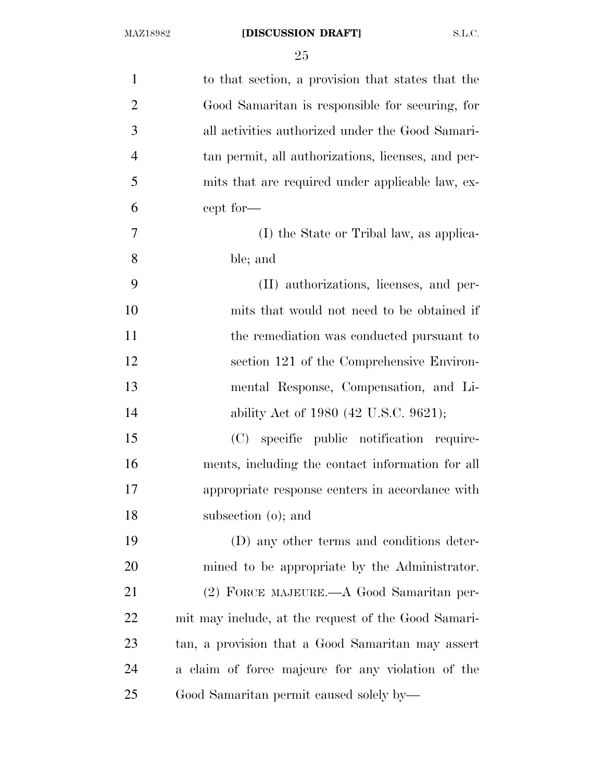| $\mathbf{1}$   | to that section, a provision that states that the   |
|----------------|-----------------------------------------------------|
| $\overline{2}$ | Good Samaritan is responsible for securing, for     |
| 3              | all activities authorized under the Good Samari-    |
| $\overline{4}$ | tan permit, all authorizations, licenses, and per-  |
| 5              | mits that are required under applicable law, ex-    |
| 6              | cept for—                                           |
| 7              | (I) the State or Tribal law, as applica-            |
| 8              | ble; and                                            |
| 9              | (II) authorizations, licenses, and per-             |
| 10             | mits that would not need to be obtained if          |
| 11             | the remediation was conducted pursuant to           |
| 12             | section 121 of the Comprehensive Environ-           |
| 13             | mental Response, Compensation, and Li-              |
| 14             | ability Act of 1980 (42 U.S.C. 9621);               |
| 15             | (C) specific public notification require-           |
| 16             | ments, including the contact information for all    |
| 17             | appropriate response centers in accordance with     |
| 18             | subsection (o); and                                 |
| 19             | (D) any other terms and conditions deter-           |
| 20             | mined to be appropriate by the Administrator.       |
| 21             | (2) FORCE MAJEURE.—A Good Samaritan per-            |
| 22             | mit may include, at the request of the Good Samari- |
| 23             | tan, a provision that a Good Samaritan may assert   |
| 24             | a claim of force majeure for any violation of the   |
| 25             | Good Samaritan permit caused solely by—             |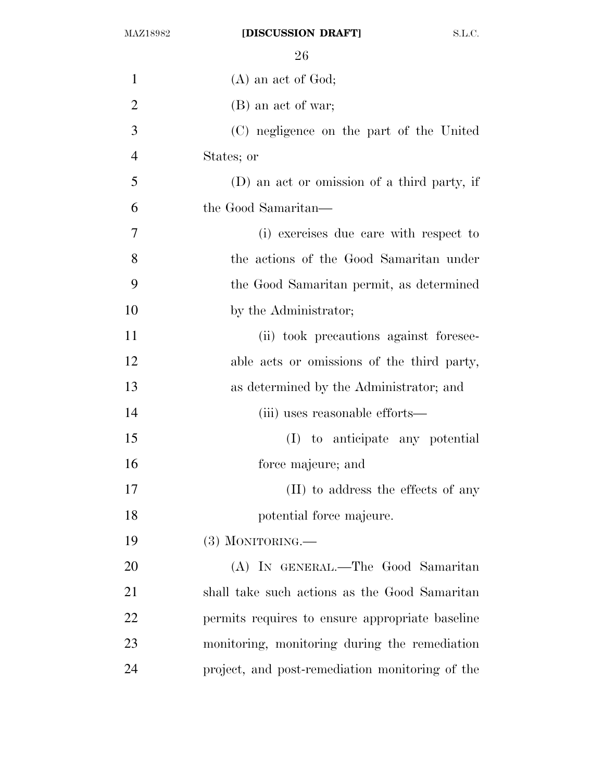| $\mathbf{1}$   | $(A)$ an act of God;                            |
|----------------|-------------------------------------------------|
| $\overline{2}$ | (B) an act of war;                              |
| 3              | (C) negligence on the part of the United        |
| $\overline{4}$ | States; or                                      |
| 5              | (D) an act or omission of a third party, if     |
| 6              | the Good Samaritan—                             |
| 7              | (i) exercises due care with respect to          |
| 8              | the actions of the Good Samaritan under         |
| 9              | the Good Samaritan permit, as determined        |
| 10             | by the Administrator;                           |
| 11             | (ii) took precautions against foresee-          |
| 12             | able acts or omissions of the third party,      |
| 13             | as determined by the Administrator; and         |
| 14             | (iii) uses reasonable efforts—                  |
| 15             | (I) to anticipate any potential                 |
| 16             | force majeure; and                              |
| 17             | (II) to address the effects of any              |
| 18             | potential force majeure.                        |
| 19             | $(3)$ MONITORING.—                              |
| 20             | (A) IN GENERAL.—The Good Samaritan              |
| 21             | shall take such actions as the Good Samaritan   |
| 22             | permits requires to ensure appropriate baseline |
| 23             | monitoring, monitoring during the remediation   |
| 24             | project, and post-remediation monitoring of the |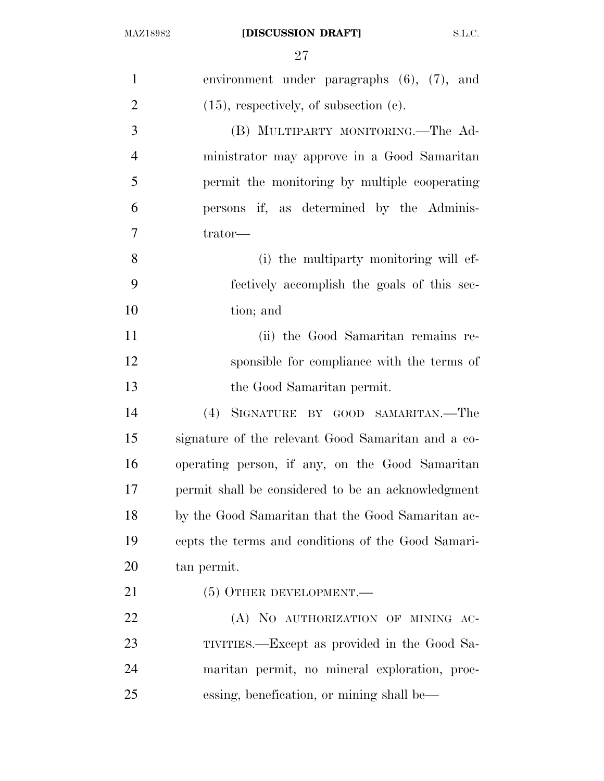| $\mathbf{1}$   | environment under paragraphs $(6)$ , $(7)$ , and   |
|----------------|----------------------------------------------------|
| $\overline{2}$ | $(15)$ , respectively, of subsection $(c)$ .       |
| 3              | (B) MULTIPARTY MONITORING.—The Ad-                 |
| $\overline{4}$ | ministrator may approve in a Good Samaritan        |
| 5              | permit the monitoring by multiple cooperating      |
| 6              | persons if, as determined by the Adminis-          |
| 7              | trator-                                            |
| 8              | (i) the multiparty monitoring will ef-             |
| 9              | fectively accomplish the goals of this sec-        |
| 10             | tion; and                                          |
| 11             | (ii) the Good Samaritan remains re-                |
| 12             | sponsible for compliance with the terms of         |
| 13             | the Good Samaritan permit.                         |
| 14             | (4)<br>SIGNATURE BY GOOD SAMARITAN.—The            |
| 15             | signature of the relevant Good Samaritan and a co- |
| 16             | operating person, if any, on the Good Samaritan    |
| 17             | permit shall be considered to be an acknowledgment |
| 18             | by the Good Samaritan that the Good Samaritan ac-  |
| 19             | cepts the terms and conditions of the Good Samari- |
| 20             | tan permit.                                        |
| 21             | $(5)$ OTHER DEVELOPMENT.—                          |
| 22             | (A) NO AUTHORIZATION OF MINING AC-                 |
| 23             | TIVITIES.—Except as provided in the Good Sa-       |
| 24             | maritan permit, no mineral exploration, proc-      |
| 25             | essing, benefication, or mining shall be—          |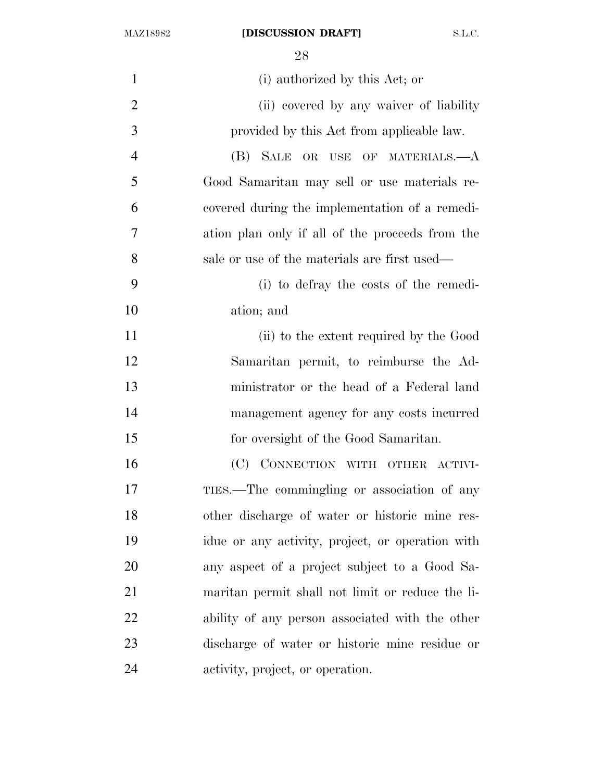MAZ18982 **[DISCUSSION DRAFT]** S.L.C.

| $\mathbf{1}$   | (i) authorized by this Act; or                   |
|----------------|--------------------------------------------------|
| $\overline{2}$ | (ii) covered by any waiver of liability          |
| 3              | provided by this Act from applicable law.        |
| $\overline{4}$ | SALE<br>(B)<br>OR USE OF MATERIALS.—A            |
| 5              | Good Samaritan may sell or use materials re-     |
| 6              | covered during the implementation of a remedi-   |
| 7              | ation plan only if all of the proceeds from the  |
| 8              | sale or use of the materials are first used—     |
| 9              | (i) to defray the costs of the remedi-           |
| 10             | ation; and                                       |
| 11             | (ii) to the extent required by the Good          |
| 12             | Samaritan permit, to reimburse the Ad-           |
| 13             | ministrator or the head of a Federal land        |
| 14             | management agency for any costs incurred         |
| 15             | for oversight of the Good Samaritan.             |
| 16             | CONNECTION WITH OTHER ACTIVI-<br>(C)             |
| 17             | TIES.—The commingling or association of any      |
| 18             | other discharge of water or historic mine res-   |
| 19             | idue or any activity, project, or operation with |
| 20             | any aspect of a project subject to a Good Sa-    |
| 21             | maritan permit shall not limit or reduce the li- |
| 22             | ability of any person associated with the other  |
| 23             | discharge of water or historic mine residue or   |
| 24             | activity, project, or operation.                 |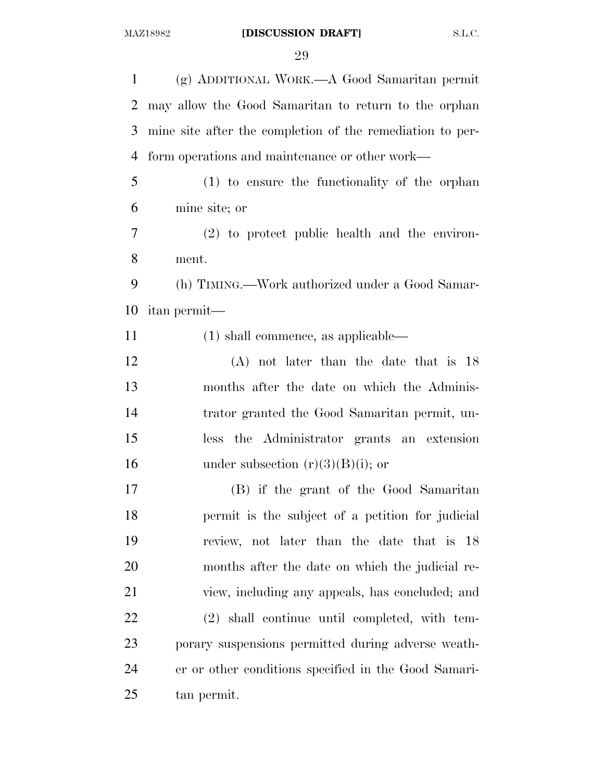(g) ADDITIONAL WORK.—A Good Samaritan permit may allow the Good Samaritan to return to the orphan mine site after the completion of the remediation to per- form operations and maintenance or other work— (1) to ensure the functionality of the orphan mine site; or (2) to protect public health and the environ- ment. (h) TIMING.—Work authorized under a Good Samar- itan permit— (1) shall commence, as applicable— (A) not later than the date that is 18 months after the date on which the Adminis- trator granted the Good Samaritan permit, un- less the Administrator grants an extension 16 under subsection  $(r)(3)(B)(i)$ ; or (B) if the grant of the Good Samaritan permit is the subject of a petition for judicial review, not later than the date that is 18 months after the date on which the judicial re- view, including any appeals, has concluded; and (2) shall continue until completed, with tem- porary suspensions permitted during adverse weath- er or other conditions specified in the Good Samari-tan permit.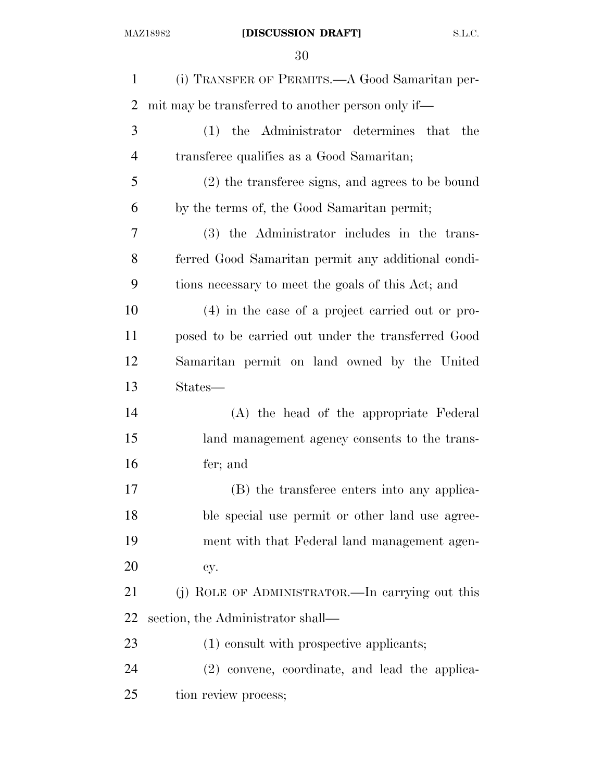| $\mathbf{1}$   | (i) TRANSFER OF PERMITS.—A Good Samaritan per-     |
|----------------|----------------------------------------------------|
| $\overline{2}$ | mit may be transferred to another person only if—  |
| 3              | (1) the Administrator determines that the          |
| $\overline{4}$ | transferee qualifies as a Good Samaritan;          |
| 5              | (2) the transferee signs, and agrees to be bound   |
| 6              | by the terms of, the Good Samaritan permit;        |
| 7              | (3) the Administrator includes in the trans-       |
| 8              | ferred Good Samaritan permit any additional condi- |
| 9              | tions necessary to meet the goals of this Act; and |
| 10             | $(4)$ in the case of a project carried out or pro- |
| 11             | posed to be carried out under the transferred Good |
| 12             | Samaritan permit on land owned by the United       |
| 13             | States—                                            |
| 14             | (A) the head of the appropriate Federal            |
| 15             | land management agency consents to the trans-      |
| 16             | fer; and                                           |
| 17             | (B) the transferee enters into any applica-        |
| 18             | ble special use permit or other land use agree-    |
| 19             | ment with that Federal land management agen-       |
| 20             | cy.                                                |
| 21             | (j) ROLE OF ADMINISTRATOR.—In carrying out this    |
| 22             | section, the Administrator shall—                  |
| 23             | (1) consult with prospective applicants;           |
| 24             | (2) convene, coordinate, and lead the applica-     |
| 25             | tion review process;                               |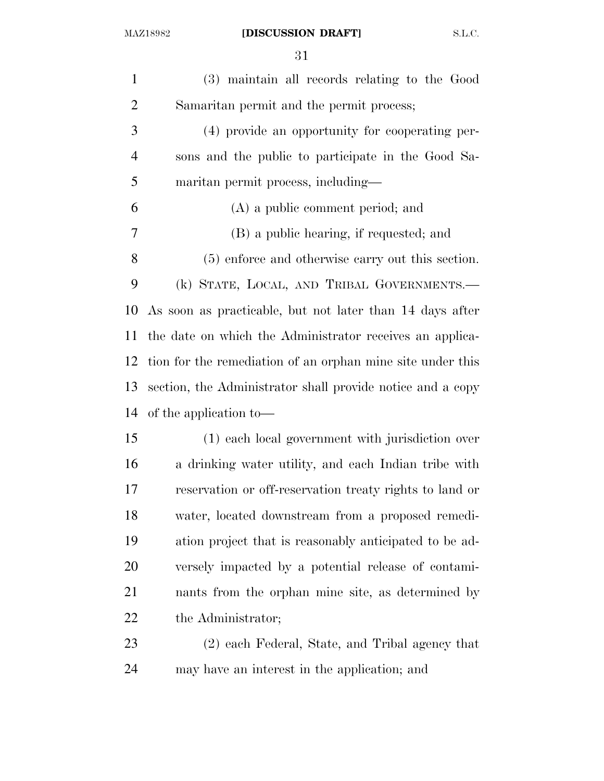| $\mathbf{1}$   | (3) maintain all records relating to the Good              |
|----------------|------------------------------------------------------------|
| $\overline{2}$ | Samaritan permit and the permit process;                   |
| 3              | (4) provide an opportunity for cooperating per-            |
| 4              | sons and the public to participate in the Good Sa-         |
| 5              | maritan permit process, including—                         |
| 6              | (A) a public comment period; and                           |
| 7              | (B) a public hearing, if requested; and                    |
| 8              | (5) enforce and otherwise carry out this section.          |
| 9              | (k) STATE, LOCAL, AND TRIBAL GOVERNMENTS.—                 |
| 10             | As soon as practicable, but not later than 14 days after   |
| 11             | the date on which the Administrator receives an applica-   |
| 12             | tion for the remediation of an orphan mine site under this |
| 13             | section, the Administrator shall provide notice and a copy |
| 14             | of the application to—                                     |
| 15             | (1) each local government with jurisdiction over           |
| 16             | a drinking water utility, and each Indian tribe with       |
| 17             | reservation or off-reservation treaty rights to land or    |
| 18             | water, located downstream from a proposed remedi-          |
| 19             | ation project that is reasonably anticipated to be ad-     |
| 20             | versely impacted by a potential release of contami-        |
| 21             | nants from the orphan mine site, as determined by          |
| 22             | the Administrator;                                         |
| 23             | (2) each Federal, State, and Tribal agency that            |
| 24             | may have an interest in the application; and               |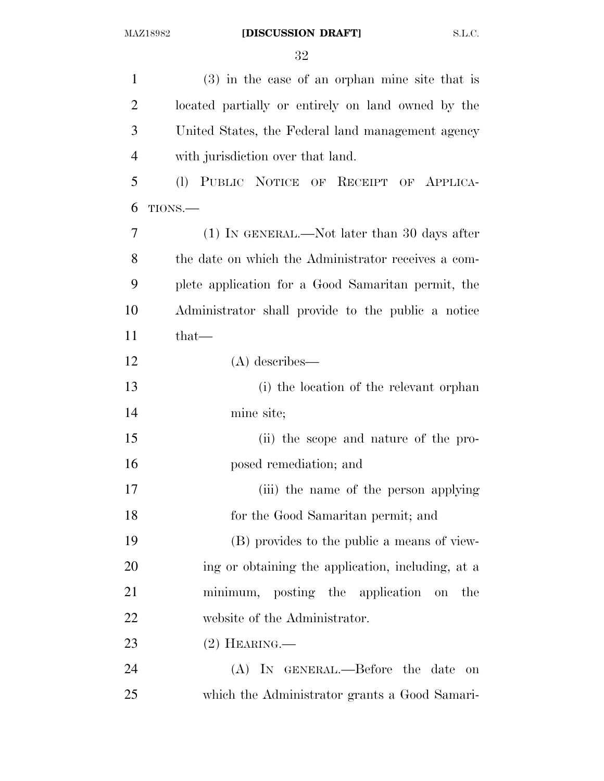| $\mathbf{1}$   | $(3)$ in the case of an orphan mine site that is    |
|----------------|-----------------------------------------------------|
| $\overline{2}$ | located partially or entirely on land owned by the  |
| 3              | United States, the Federal land management agency   |
| $\overline{4}$ | with jurisdiction over that land.                   |
| 5              | (I) PUBLIC NOTICE OF RECEIPT OF APPLICA-            |
| 6              | TIONS.                                              |
| 7              | $(1)$ In GENERAL.—Not later than 30 days after      |
| 8              | the date on which the Administrator receives a com- |
| 9              | plete application for a Good Samaritan permit, the  |
| 10             | Administrator shall provide to the public a notice  |
| 11             | that-                                               |
| 12             | $(A)$ describes—                                    |
| 13             | (i) the location of the relevant orphan             |
| 14             | mine site;                                          |
| 15             | (ii) the scope and nature of the pro-               |
| 16             | posed remediation; and                              |
| 17             | (iii) the name of the person applying               |
| 18             | for the Good Samaritan permit; and                  |
| 19             | (B) provides to the public a means of view-         |
| 20             | ing or obtaining the application, including, at a   |
| 21             | minimum, posting the application on<br>the          |
| 22             | website of the Administrator.                       |
| 23             | $(2)$ HEARING.—                                     |
| 24             | (A) IN GENERAL.—Before the date on                  |
| 25             | which the Administrator grants a Good Samari-       |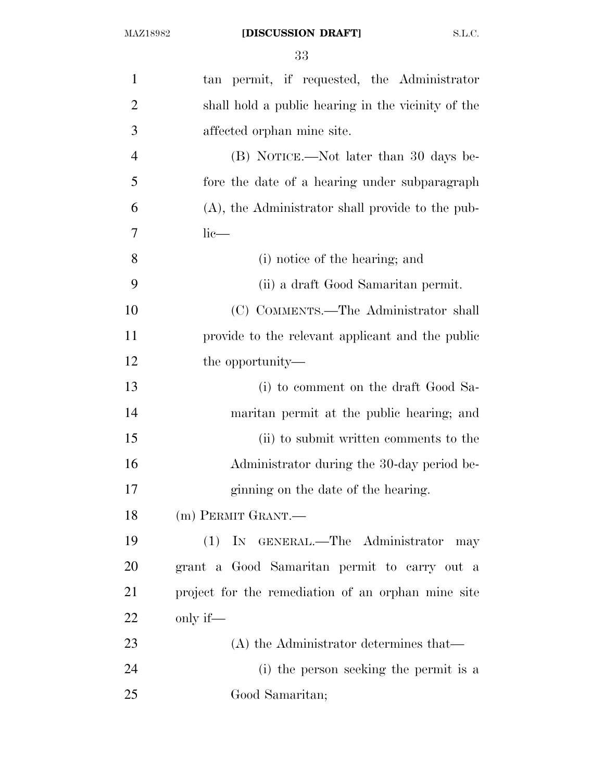| $\mathbf{1}$   | tan permit, if requested, the Administrator         |
|----------------|-----------------------------------------------------|
| $\overline{2}$ | shall hold a public hearing in the vicinity of the  |
| 3              | affected orphan mine site.                          |
| $\overline{4}$ | (B) NOTICE.—Not later than 30 days be-              |
| 5              | fore the date of a hearing under subparagraph       |
| 6              | $(A)$ , the Administrator shall provide to the pub- |
| 7              | $lie-$                                              |
| 8              | (i) notice of the hearing; and                      |
| 9              | (ii) a draft Good Samaritan permit.                 |
| 10             | (C) COMMENTS.—The Administrator shall               |
| 11             | provide to the relevant applicant and the public    |
| 12             | the opportunity—                                    |
| 13             | (i) to comment on the draft Good Sa-                |
| 14             | maritan permit at the public hearing; and           |
| 15             | (ii) to submit written comments to the              |
| 16             | Administrator during the 30-day period be-          |
| 17             | ginning on the date of the hearing.                 |
| 18             | (m) PERMIT GRANT.—                                  |
| 19             | (1) IN GENERAL.—The Administrator may               |
| 20             | grant a Good Samaritan permit to carry out a        |
| 21             | project for the remediation of an orphan mine site  |
| 22             | only if—                                            |
| 23             | $(A)$ the Administrator determines that—            |
| 24             | (i) the person seeking the permit is a              |
| 25             | Good Samaritan;                                     |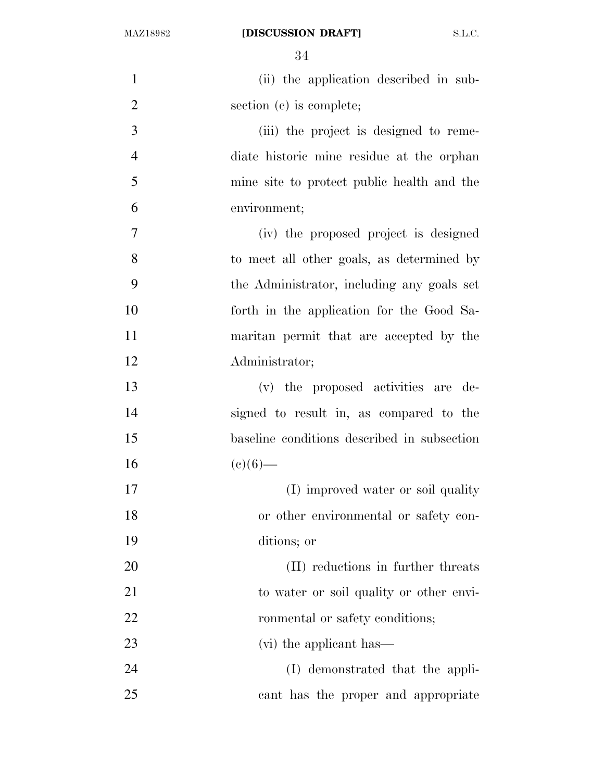## MAZ18982 **[DISCUSSION DRAFT]** S.L.C.

| $\mathbf{1}$   | (ii) the application described in sub-      |
|----------------|---------------------------------------------|
| $\overline{2}$ | section (c) is complete;                    |
| 3              | (iii) the project is designed to reme-      |
| $\overline{4}$ | diate historic mine residue at the orphan   |
| 5              | mine site to protect public health and the  |
| 6              | environment;                                |
| 7              | (iv) the proposed project is designed       |
| 8              | to meet all other goals, as determined by   |
| 9              | the Administrator, including any goals set  |
| 10             | forth in the application for the Good Sa-   |
| 11             | maritan permit that are accepted by the     |
| 12             | Administrator;                              |
| 13             | (v) the proposed activities are de-         |
| 14             | signed to result in, as compared to the     |
| 15             | baseline conditions described in subsection |
| 16             | $(e)(6)$ —                                  |
| 17             | (I) improved water or soil quality          |
| 18             | or other environmental or safety con-       |
| 19             | ditions; or                                 |
| 20             | (II) reductions in further threats          |
| 21             | to water or soil quality or other envi-     |
| 22             | ronmental or safety conditions;             |
| 23             | (vi) the applicant has—                     |
| 24             | (I) demonstrated that the appli-            |
| 25             | cant has the proper and appropriate         |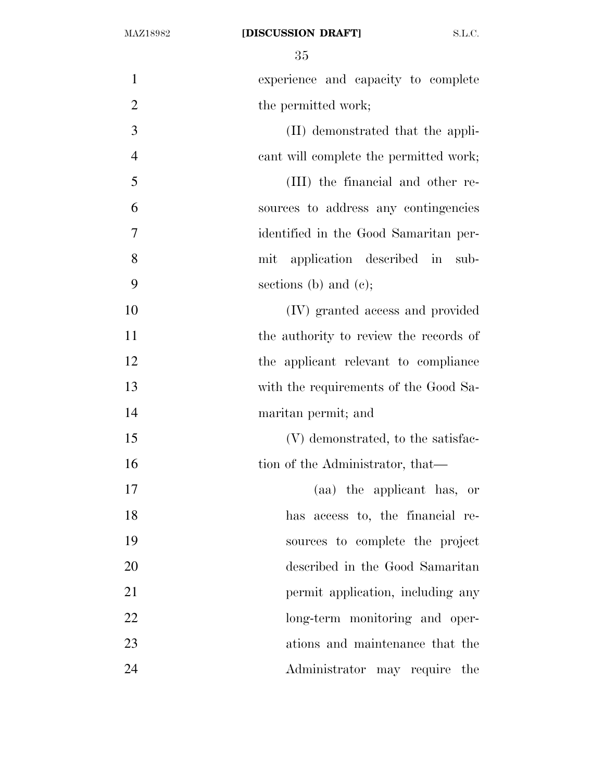| $\mathbf{1}$   | experience and capacity to complete    |
|----------------|----------------------------------------|
| $\overline{2}$ | the permitted work;                    |
| 3              | (II) demonstrated that the appli-      |
| $\overline{4}$ | cant will complete the permitted work; |
| 5              | (III) the financial and other re-      |
| 6              | sources to address any contingencies   |
| $\overline{7}$ | identified in the Good Samaritan per-  |
| 8              | application described in sub-<br>mit   |
| 9              | sections (b) and (c);                  |
| 10             | (IV) granted access and provided       |
| 11             | the authority to review the records of |
| 12             | the applicant relevant to compliance   |
| 13             | with the requirements of the Good Sa-  |
| 14             | maritan permit; and                    |
| 15             | (V) demonstrated, to the satisfac-     |
| 16             | tion of the Administrator, that—       |
| 17             | (aa) the applicant has, or             |
| 18             | has access to, the financial re-       |
| 19             | sources to complete the project        |
| 20             | described in the Good Samaritan        |
| 21             | permit application, including any      |
| 22             | long-term monitoring and oper-         |
| 23             | ations and maintenance that the        |
| 24             | Administrator may require<br>the       |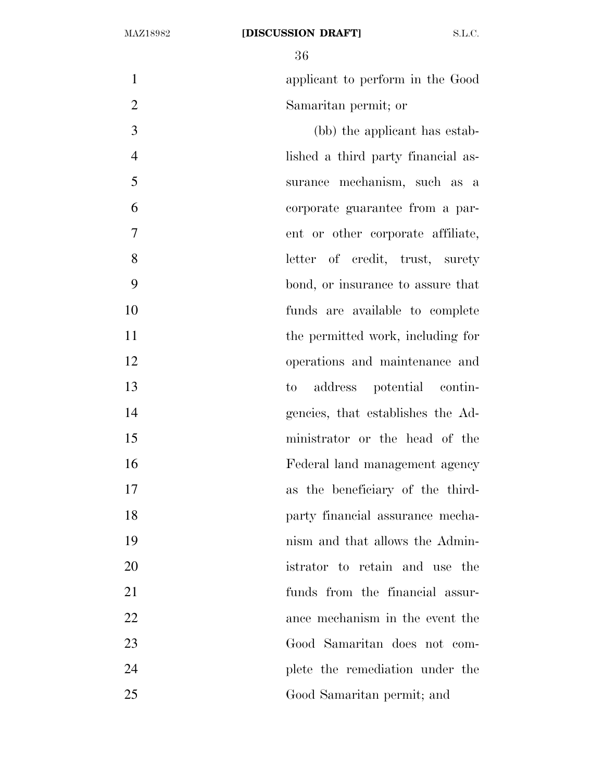applicant to perform in the Good Samaritan permit; or

 (bb) the applicant has estab- lished a third party financial as- surance mechanism, such as a corporate guarantee from a par- ent or other corporate affiliate, letter of credit, trust, surety bond, or insurance to assure that funds are available to complete 11 the permitted work, including for operations and maintenance and to address potential contin- gencies, that establishes the Ad- ministrator or the head of the Federal land management agency as the beneficiary of the third- party financial assurance mecha- nism and that allows the Admin- istrator to retain and use the funds from the financial assur- ance mechanism in the event the Good Samaritan does not com- plete the remediation under the Good Samaritan permit; and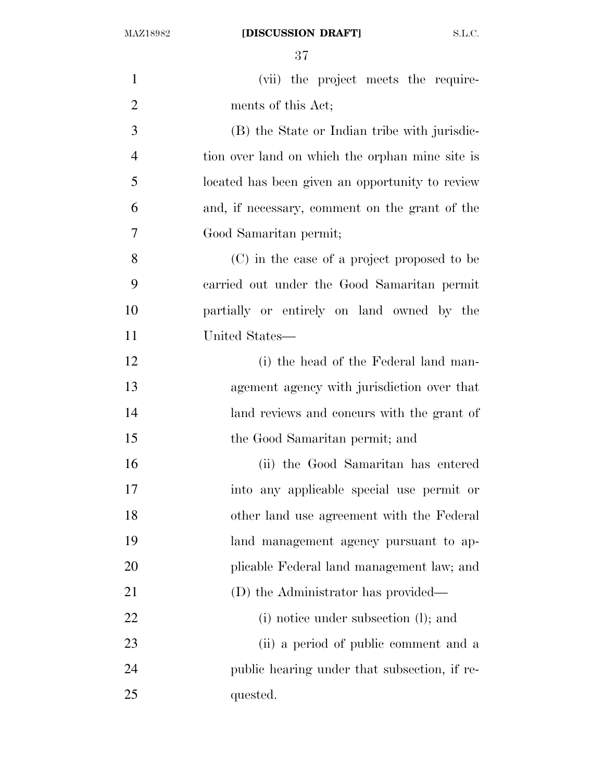| $\mathbf{1}$   | (vii) the project meets the require-            |
|----------------|-------------------------------------------------|
| $\overline{2}$ | ments of this Act;                              |
| 3              | (B) the State or Indian tribe with jurisdic-    |
| $\overline{4}$ | tion over land on which the orphan mine site is |
| 5              | located has been given an opportunity to review |
| 6              | and, if necessary, comment on the grant of the  |
| $\overline{7}$ | Good Samaritan permit;                          |
| 8              | (C) in the case of a project proposed to be     |
| 9              | carried out under the Good Samaritan permit     |
| 10             | partially or entirely on land owned by the      |
| 11             | United States—                                  |
| 12             | (i) the head of the Federal land man-           |
| 13             | agement agency with jurisdiction over that      |
| 14             | land reviews and concurs with the grant of      |
| 15             | the Good Samaritan permit; and                  |
| 16             | (ii) the Good Samaritan has entered             |
| 17             | into any applicable special use permit or       |
| 18             | other land use agreement with the Federal       |
| 19             | land management agency pursuant to ap-          |
| 20             | plicable Federal land management law; and       |
| 21             | (D) the Administrator has provided—             |
| 22             | (i) notice under subsection (l); and            |
| 23             | (ii) a period of public comment and a           |
| 24             | public hearing under that subsection, if re-    |
| 25             | quested.                                        |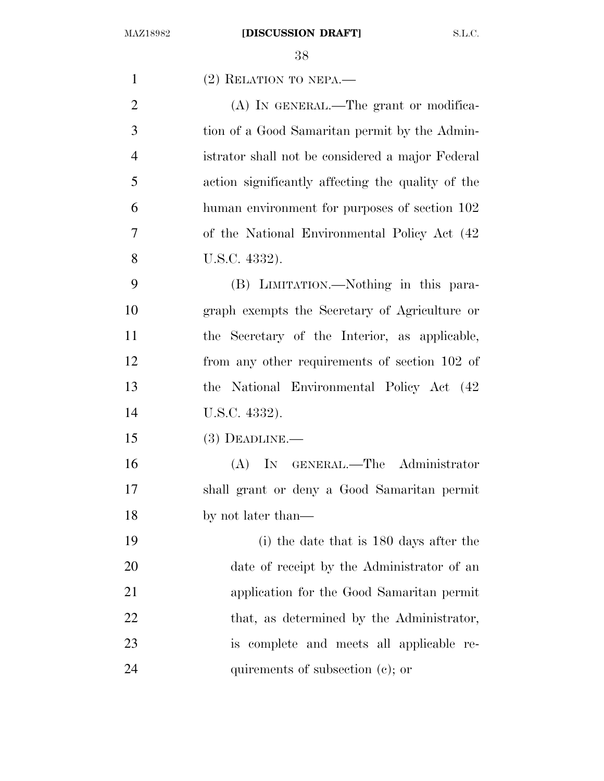| $\mathbf{1}$   | $(2)$ RELATION TO NEPA.—                          |
|----------------|---------------------------------------------------|
| $\overline{2}$ | (A) IN GENERAL.—The grant or modifica-            |
| 3              | tion of a Good Samaritan permit by the Admin-     |
| $\overline{4}$ | istrator shall not be considered a major Federal  |
| 5              | action significantly affecting the quality of the |
| 6              | human environment for purposes of section 102     |
| 7              | of the National Environmental Policy Act (42)     |
| 8              | U.S.C. 4332).                                     |
| 9              | (B) LIMITATION.—Nothing in this para-             |
| 10             | graph exempts the Secretary of Agriculture or     |
| 11             | the Secretary of the Interior, as applicable,     |
| 12             | from any other requirements of section 102 of     |
| 13             | the National Environmental Policy Act (42)        |
| 14             | U.S.C. 4332).                                     |
| 15             | $(3)$ DEADLINE.—                                  |
| 16             | (A) IN GENERAL.—The Administrator                 |
| 17             | shall grant or deny a Good Samaritan permit       |
| 18             | by not later than—                                |
| 19             | (i) the date that is 180 days after the           |
| 20             | date of receipt by the Administrator of an        |
| 21             | application for the Good Samaritan permit         |
| 22             | that, as determined by the Administrator,         |
| 23             | is complete and meets all applicable re-          |
| 24             | quirements of subsection (c); or                  |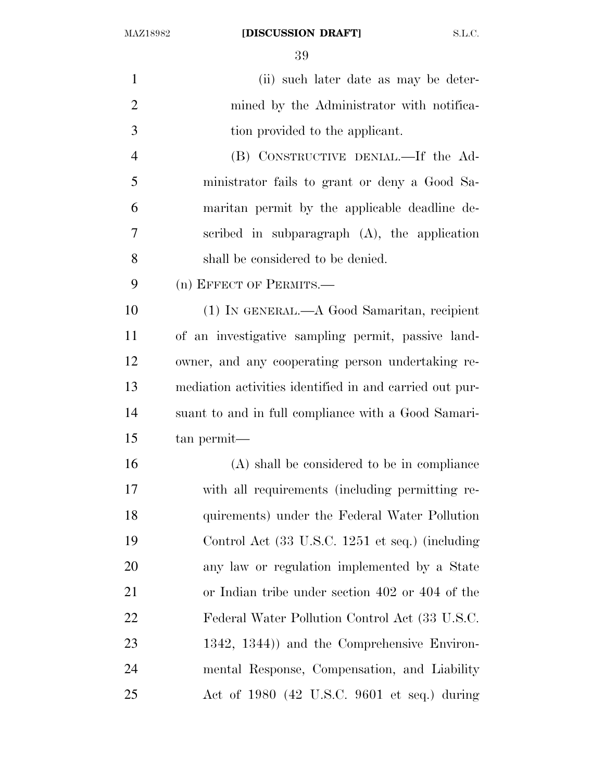MAZ18982 **[DISCUSSION DRAFT]** S.L.C.

 (ii) such later date as may be deter- mined by the Administrator with notifica-3 tion provided to the applicant. (B) CONSTRUCTIVE DENIAL.—If the Ad- ministrator fails to grant or deny a Good Sa- maritan permit by the applicable deadline de- scribed in subparagraph (A), the application shall be considered to be denied. (n) EFFECT OF PERMITS.— (1) IN GENERAL.—A Good Samaritan, recipient of an investigative sampling permit, passive land- owner, and any cooperating person undertaking re- mediation activities identified in and carried out pur- suant to and in full compliance with a Good Samari- tan permit— (A) shall be considered to be in compliance with all requirements (including permitting re- quirements) under the Federal Water Pollution Control Act (33 U.S.C. 1251 et seq.) (including any law or regulation implemented by a State or Indian tribe under section 402 or 404 of the Federal Water Pollution Control Act (33 U.S.C. 1342, 1344)) and the Comprehensive Environ- mental Response, Compensation, and Liability Act of 1980 (42 U.S.C. 9601 et seq.) during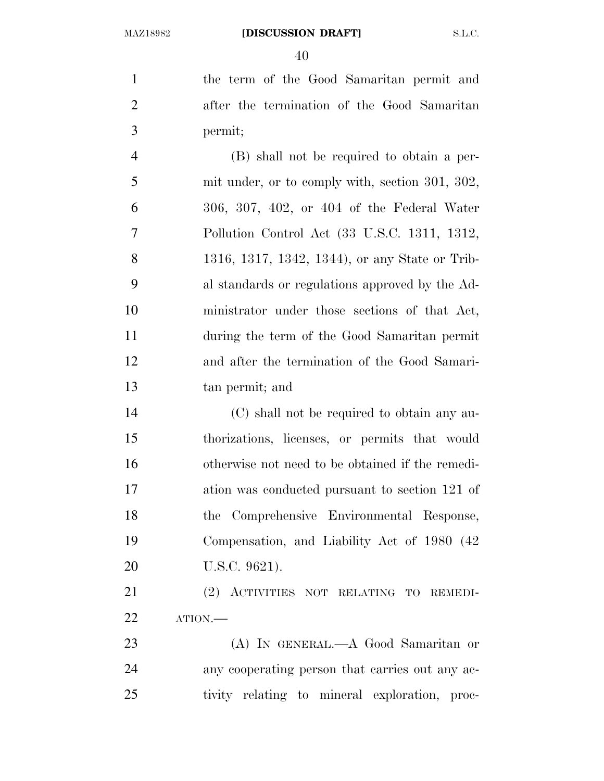the term of the Good Samaritan permit and after the termination of the Good Samaritan permit;

 (B) shall not be required to obtain a per- mit under, or to comply with, section 301, 302, 306, 307, 402, or 404 of the Federal Water Pollution Control Act (33 U.S.C. 1311, 1312, 1316, 1317, 1342, 1344), or any State or Trib- al standards or regulations approved by the Ad- ministrator under those sections of that Act, during the term of the Good Samaritan permit and after the termination of the Good Samari-tan permit; and

 (C) shall not be required to obtain any au- thorizations, licenses, or permits that would otherwise not need to be obtained if the remedi- ation was conducted pursuant to section 121 of the Comprehensive Environmental Response, Compensation, and Liability Act of 1980 (42 U.S.C. 9621).

 (2) ACTIVITIES NOT RELATING TO REMEDI-ATION.—

 (A) IN GENERAL.—A Good Samaritan or any cooperating person that carries out any ac-tivity relating to mineral exploration, proc-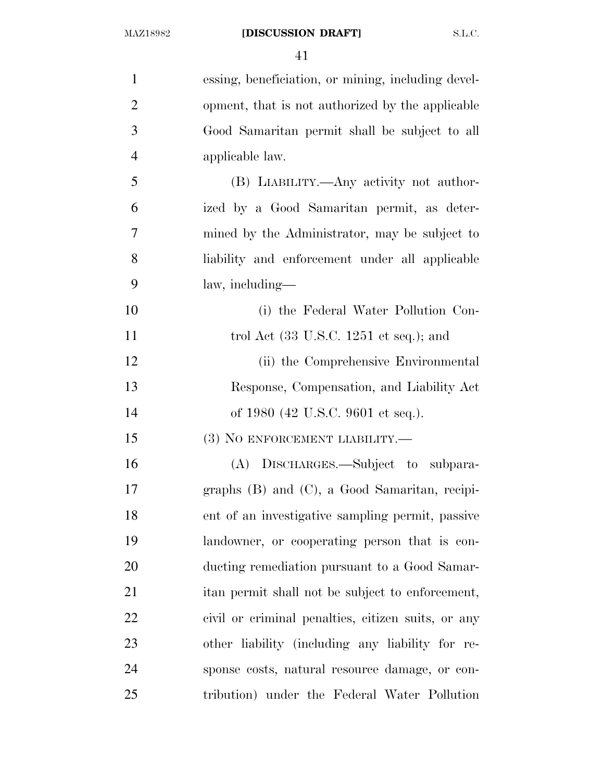| $\mathbf{1}$   | essing, beneficiation, or mining, including devel-        |
|----------------|-----------------------------------------------------------|
| $\overline{2}$ | opment, that is not authorized by the applicable          |
| 3              | Good Samaritan permit shall be subject to all             |
| $\overline{4}$ | applicable law.                                           |
| 5              | (B) LIABILITY.—Any activity not author-                   |
| 6              | ized by a Good Samaritan permit, as deter-                |
| $\overline{7}$ | mined by the Administrator, may be subject to             |
| 8              | liability and enforcement under all applicable            |
| 9              | law, including—                                           |
| 10             | (i) the Federal Water Pollution Con-                      |
| 11             | trol Act $(33 \text{ U.S.C. } 1251 \text{ et seq.});$ and |
| 12             | (ii) the Comprehensive Environmental                      |
| 13             | Response, Compensation, and Liability Act                 |
| 14             | of 1980 (42 U.S.C. 9601 et seq.).                         |
| 15             | $(3)$ NO ENFORCEMENT LIABILITY.—                          |
| 16             | (A) DISCHARGES.—Subject to subpara-                       |
| 17             | graphs $(B)$ and $(C)$ , a Good Samaritan, recipi-        |
| 18             | ent of an investigative sampling permit, passive          |
| 19             | landowner, or cooperating person that is con-             |
| 20             | ducting remediation pursuant to a Good Samar-             |
| 21             | itan permit shall not be subject to enforcement,          |
| 22             | civil or criminal penalties, citizen suits, or any        |
| 23             | other liability (including any liability for re-          |
| 24             | sponse costs, natural resource damage, or con-            |
| 25             | tribution) under the Federal Water Pollution              |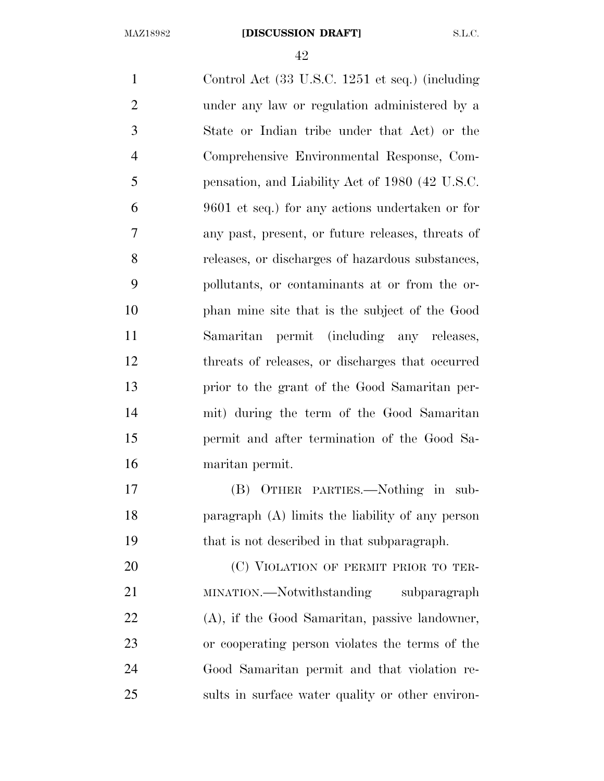Control Act (33 U.S.C. 1251 et seq.) (including under any law or regulation administered by a State or Indian tribe under that Act) or the Comprehensive Environmental Response, Com- pensation, and Liability Act of 1980 (42 U.S.C. 9601 et seq.) for any actions undertaken or for any past, present, or future releases, threats of releases, or discharges of hazardous substances, pollutants, or contaminants at or from the or- phan mine site that is the subject of the Good Samaritan permit (including any releases, threats of releases, or discharges that occurred prior to the grant of the Good Samaritan per- mit) during the term of the Good Samaritan permit and after termination of the Good Sa- maritan permit. (B) OTHER PARTIES.—Nothing in sub- paragraph (A) limits the liability of any person that is not described in that subparagraph. 20 (C) VIOLATION OF PERMIT PRIOR TO TER-21 MINATION.—Notwithstanding subparagraph (A), if the Good Samaritan, passive landowner, or cooperating person violates the terms of the

 Good Samaritan permit and that violation re-sults in surface water quality or other environ-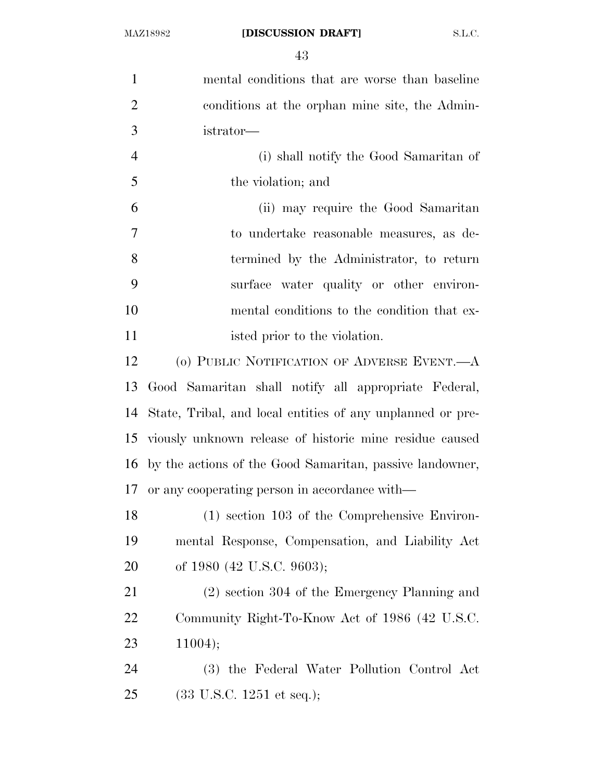mental conditions that are worse than baseline conditions at the orphan mine site, the Admin- istrator— (i) shall notify the Good Samaritan of the violation; and (ii) may require the Good Samaritan to undertake reasonable measures, as de- termined by the Administrator, to return surface water quality or other environ- mental conditions to the condition that ex-11 isted prior to the violation. (o) PUBLIC NOTIFICATION OF ADVERSE EVENT.—A Good Samaritan shall notify all appropriate Federal, State, Tribal, and local entities of any unplanned or pre- viously unknown release of historic mine residue caused by the actions of the Good Samaritan, passive landowner, or any cooperating person in accordance with— (1) section 103 of the Comprehensive Environ- mental Response, Compensation, and Liability Act of 1980 (42 U.S.C. 9603); (2) section 304 of the Emergency Planning and Community Right-To-Know Act of 1986 (42 U.S.C. 11004); (3) the Federal Water Pollution Control Act (33 U.S.C. 1251 et seq.);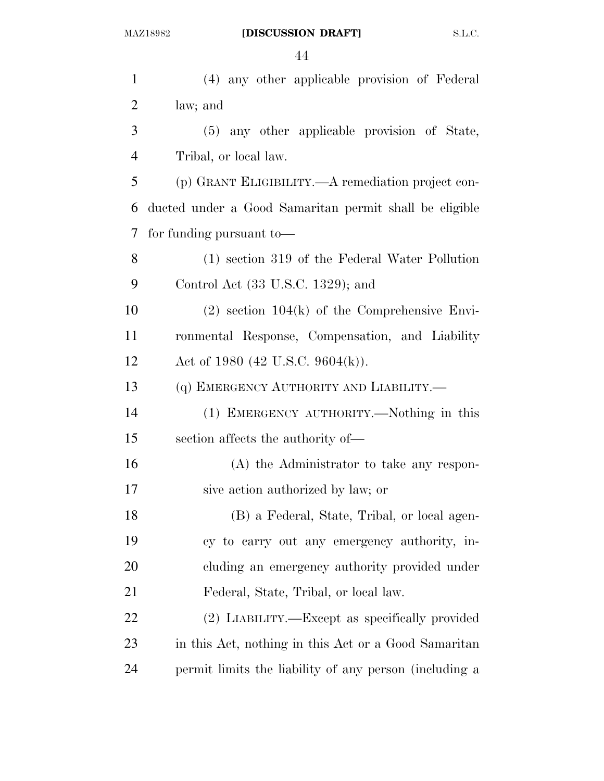| $\mathbf{1}$   | (4) any other applicable provision of Federal          |
|----------------|--------------------------------------------------------|
| $\overline{2}$ | law; and                                               |
| 3              | (5) any other applicable provision of State,           |
| $\overline{4}$ | Tribal, or local law.                                  |
| 5              | (p) GRANT ELIGIBILITY.—A remediation project con-      |
| 6              | ducted under a Good Samaritan permit shall be eligible |
| 7              | for funding pursuant to-                               |
| 8              | (1) section 319 of the Federal Water Pollution         |
| 9              | Control Act (33 U.S.C. 1329); and                      |
| 10             | $(2)$ section 104 $(k)$ of the Comprehensive Envi-     |
| 11             | ronmental Response, Compensation, and Liability        |
| 12             | Act of 1980 (42 U.S.C. 9604(k)).                       |
| 13             | (q) EMERGENCY AUTHORITY AND LIABILITY.-                |
| 14             | (1) EMERGENCY AUTHORITY.—Nothing in this               |
| 15             | section affects the authority of—                      |
| 16             | (A) the Administrator to take any respon-              |
| 17             | sive action authorized by law; or                      |
| 18             | (B) a Federal, State, Tribal, or local agen-           |
| 19             | cy to carry out any emergency authority, in-           |
| 20             | cluding an emergency authority provided under          |
| 21             | Federal, State, Tribal, or local law.                  |
| 22             | (2) LIABILITY.—Except as specifically provided         |
| 23             | in this Act, nothing in this Act or a Good Samaritan   |
| 24             | permit limits the liability of any person (including a |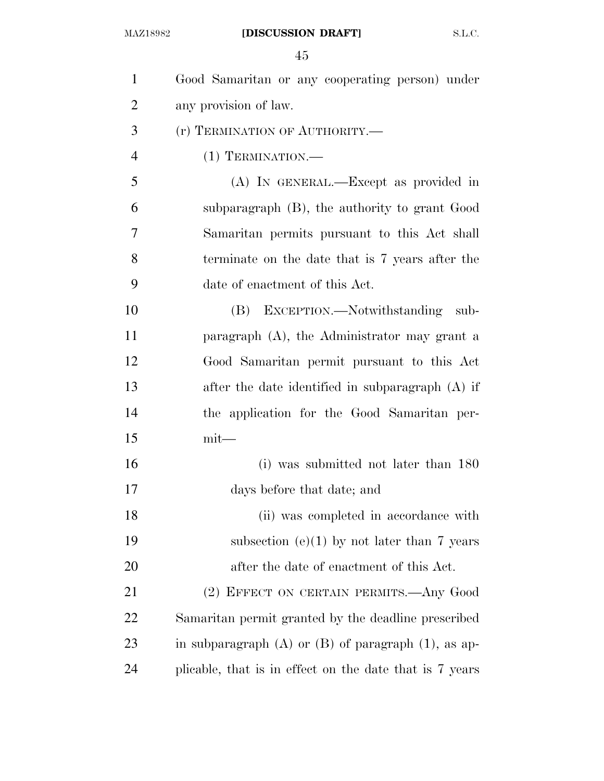| $\mathbf{1}$   | Good Samaritan or any cooperating person) under            |
|----------------|------------------------------------------------------------|
| $\overline{2}$ | any provision of law.                                      |
| 3              | (r) TERMINATION OF AUTHORITY.—                             |
| $\overline{4}$ | $(1)$ TERMINATION.—                                        |
| 5              | (A) IN GENERAL.—Except as provided in                      |
| 6              | subparagraph (B), the authority to grant Good              |
| 7              | Samaritan permits pursuant to this Act shall               |
| 8              | terminate on the date that is 7 years after the            |
| 9              | date of enactment of this Act.                             |
| 10             | (B) EXCEPTION.—Notwithstanding sub-                        |
| 11             | paragraph (A), the Administrator may grant a               |
| 12             | Good Samaritan permit pursuant to this Act                 |
| 13             | after the date identified in subparagraph (A) if           |
| 14             | the application for the Good Samaritan per-                |
| 15             | $mit$ —                                                    |
| 16             | (i) was submitted not later than 180                       |
| 17             | days before that date; and                                 |
| 18             | (ii) was completed in accordance with                      |
| 19             | subsection $(e)(1)$ by not later than 7 years              |
| 20             | after the date of enactment of this Act.                   |
| 21             | (2) EFFECT ON CERTAIN PERMITS.—Any Good                    |
| 22             | Samaritan permit granted by the deadline prescribed        |
| 23             | in subparagraph $(A)$ or $(B)$ of paragraph $(1)$ , as ap- |
| 24             | plicable, that is in effect on the date that is 7 years    |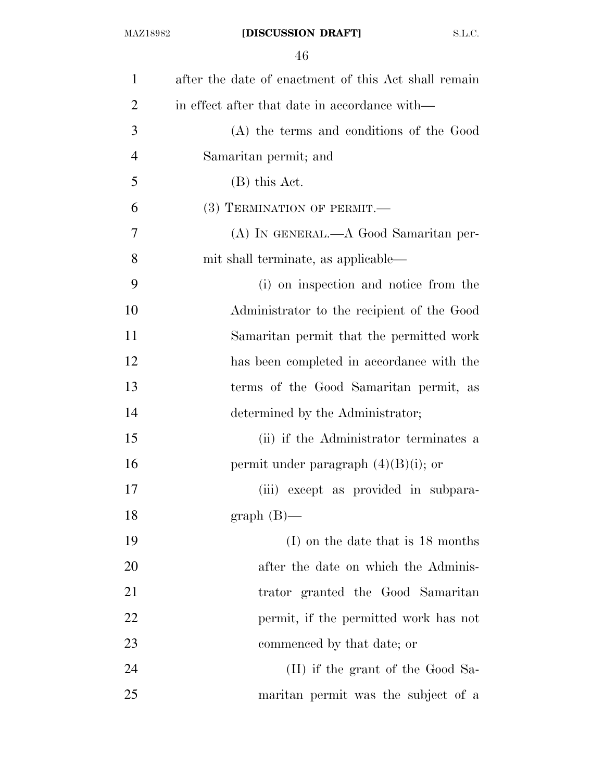| $\mathbf{1}$   | after the date of enactment of this Act shall remain |
|----------------|------------------------------------------------------|
| $\overline{2}$ | in effect after that date in accordance with—        |
| 3              | (A) the terms and conditions of the Good             |
| $\overline{4}$ | Samaritan permit; and                                |
| 5              | $(B)$ this Act.                                      |
| 6              | (3) TERMINATION OF PERMIT.-                          |
| 7              | (A) IN GENERAL.—A Good Samaritan per-                |
| 8              | mit shall terminate, as applicable—                  |
| 9              | (i) on inspection and notice from the                |
| 10             | Administrator to the recipient of the Good           |
| 11             | Samaritan permit that the permitted work             |
| 12             | has been completed in accordance with the            |
| 13             | terms of the Good Samaritan permit, as               |
| 14             | determined by the Administrator;                     |
| 15             | (ii) if the Administrator terminates a               |
| 16             | permit under paragraph $(4)(B)(i)$ ; or              |
| 17             | (iii) except as provided in subpara-                 |
| 18             | $graph(B)$ —                                         |
| 19             | $(I)$ on the date that is 18 months                  |
| 20             | after the date on which the Adminis-                 |
| 21             | trator granted the Good Samaritan                    |
| 22             | permit, if the permitted work has not                |
| 23             | commenced by that date; or                           |
| 24             | (II) if the grant of the Good Sa-                    |
| 25             | maritan permit was the subject of a                  |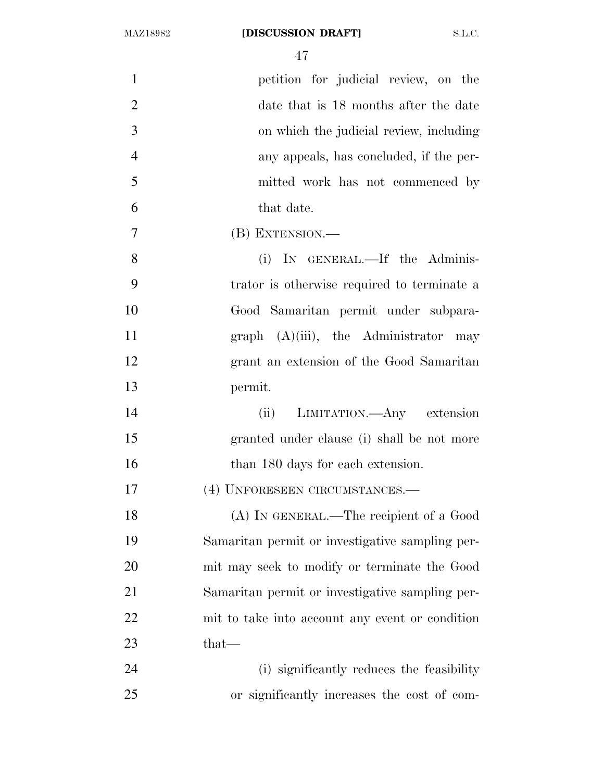| $\mathbf{1}$   | petition for judicial review, on the            |
|----------------|-------------------------------------------------|
| $\overline{2}$ | date that is 18 months after the date           |
| 3              | on which the judicial review, including         |
| $\overline{4}$ | any appeals, has concluded, if the per-         |
| 5              | mitted work has not commenced by                |
| 6              | that date.                                      |
| 7              | (B) EXTENSION.—                                 |
| 8              | (i) IN GENERAL.—If the Adminis-                 |
| 9              | trator is otherwise required to terminate a     |
| 10             | Good Samaritan permit under subpara-            |
| 11             | graph $(A)(iii)$ , the Administrator may        |
| 12             | grant an extension of the Good Samaritan        |
| 13             | permit.                                         |
| 14             | (ii) LIMITATION.—Any extension                  |
| 15             | granted under clause (i) shall be not more      |
| 16             | than 180 days for each extension.               |
| 17             | (4) UNFORESEEN CIRCUMSTANCES.-                  |
| 18             | (A) IN GENERAL.—The recipient of a Good         |
| 19             | Samaritan permit or investigative sampling per- |
| 20             | mit may seek to modify or terminate the Good    |
| 21             | Samaritan permit or investigative sampling per- |
| 22             | mit to take into account any event or condition |
| 23             | that—                                           |
| 24             | (i) significantly reduces the feasibility       |
| 25             | or significantly increases the cost of com-     |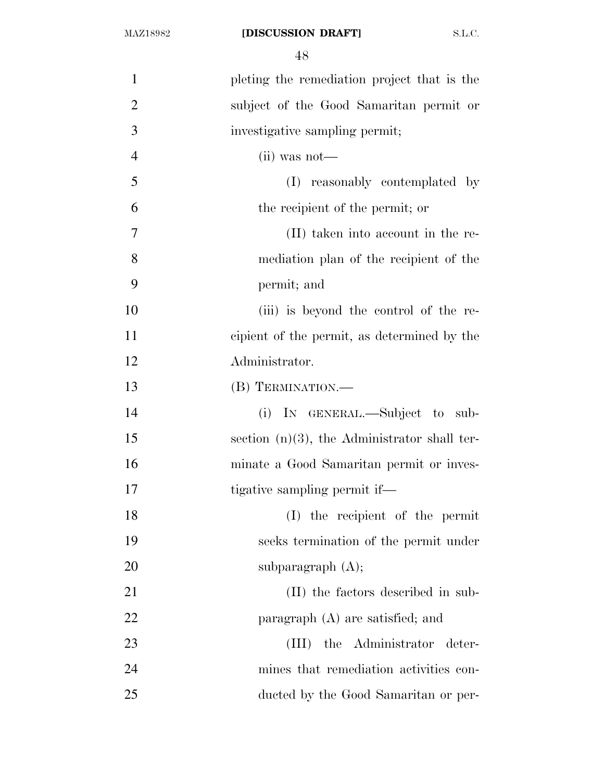| $\mathbf{1}$   | pleting the remediation project that is the     |
|----------------|-------------------------------------------------|
| $\overline{2}$ | subject of the Good Samaritan permit or         |
| 3              | investigative sampling permit;                  |
| $\overline{4}$ | $(ii)$ was not—                                 |
| 5              | reasonably contemplated by<br>(I)               |
| 6              | the recipient of the permit; or                 |
| 7              | (II) taken into account in the re-              |
| 8              | mediation plan of the recipient of the          |
| 9              | permit; and                                     |
| 10             | (iii) is beyond the control of the re-          |
| 11             | cipient of the permit, as determined by the     |
| 12             | Administrator.                                  |
| 13             | (B) TERMINATION.                                |
| 14             | (i) IN GENERAL.—Subject to sub-                 |
| 15             | section $(n)(3)$ , the Administrator shall ter- |
| 16             | minate a Good Samaritan permit or inves-        |
| 17             | tigative sampling permit if—                    |
| 18             | (I) the recipient of the permit                 |
| 19             | seeks termination of the permit under           |
| 20             | subparagraph $(A)$ ;                            |
| 21             | (II) the factors described in sub-              |
| 22             | paragraph $(A)$ are satisfied; and              |
| 23             | (III) the Administrator deter-                  |
| 24             | mines that remediation activities con-          |
| 25             | ducted by the Good Samaritan or per-            |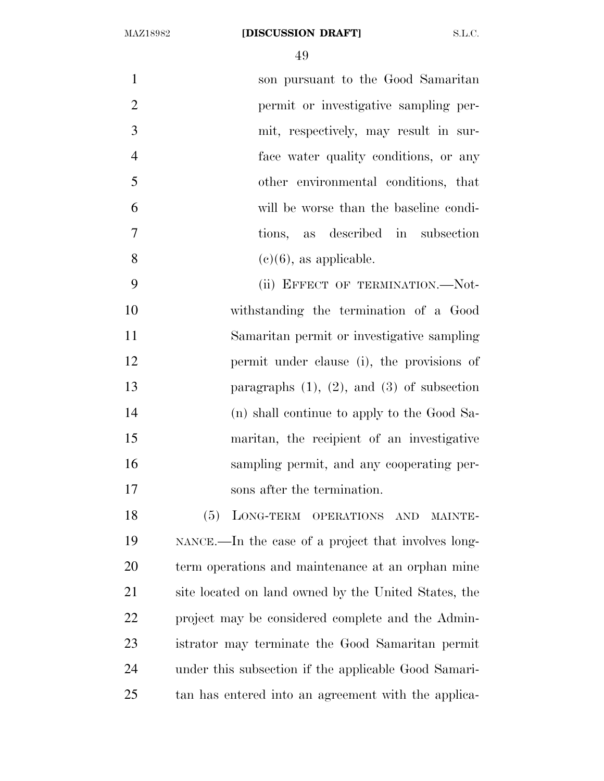| $\mathbf{1}$   | son pursuant to the Good Samaritan                                                                |
|----------------|---------------------------------------------------------------------------------------------------|
| 2              | permit or investigative sampling per-                                                             |
| 3              | mit, respectively, may result in sur-                                                             |
| $\overline{4}$ | face water quality conditions, or any                                                             |
| 5              | other environmental conditions, that                                                              |
| 6              | will be worse than the baseline condi-                                                            |
| $\overline{7}$ | tions, as described in subsection                                                                 |
| 8              | $(e)(6)$ , as applicable.                                                                         |
| 9              | (ii) EFFECT OF TERMINATION.-Not-                                                                  |
| 10             | withstanding the termination of a Good                                                            |
| 11             | Samaritan permit or investigative sampling                                                        |
| $1^{\circ}$    | $\mathbf{P}$ and $\mathbf{P}$ and $\mathbf{P}$ are $\mathbf{P}$ and $\mathbf{P}$ are $\mathbf{P}$ |

 permit under clause (i), the provisions of paragraphs (1), (2), and (3) of subsection (n) shall continue to apply to the Good Sa- maritan, the recipient of an investigative sampling permit, and any cooperating per-sons after the termination.

 (5) LONG-TERM OPERATIONS AND MAINTE- NANCE.—In the case of a project that involves long- term operations and maintenance at an orphan mine site located on land owned by the United States, the project may be considered complete and the Admin- istrator may terminate the Good Samaritan permit under this subsection if the applicable Good Samari-tan has entered into an agreement with the applica-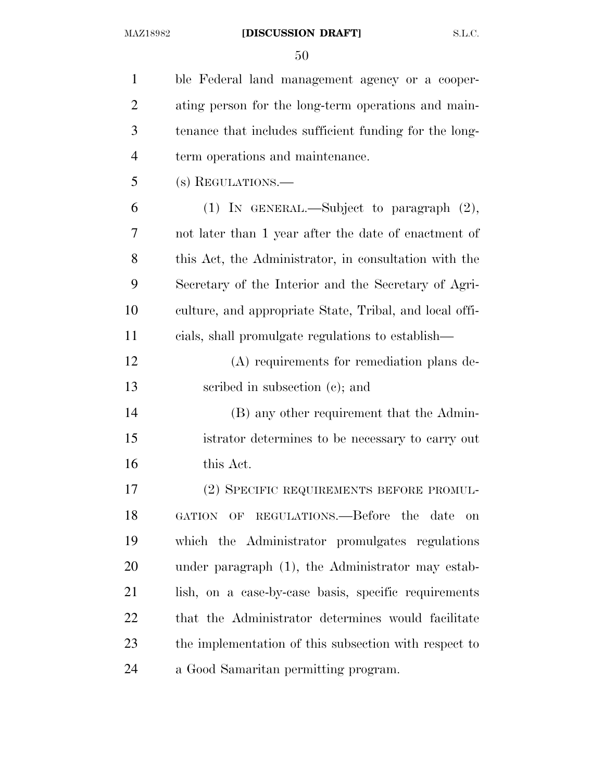| $\mathbf{1}$   | ble Federal land management agency or a cooper-         |
|----------------|---------------------------------------------------------|
| $\overline{2}$ | ating person for the long-term operations and main-     |
| 3              | tenance that includes sufficient funding for the long-  |
| $\overline{4}$ | term operations and maintenance.                        |
| 5              | (s) REGULATIONS.—                                       |
| 6              | (1) IN GENERAL.—Subject to paragraph $(2)$ ,            |
| 7              | not later than 1 year after the date of enactment of    |
| 8              | this Act, the Administrator, in consultation with the   |
| 9              | Secretary of the Interior and the Secretary of Agri-    |
| 10             | culture, and appropriate State, Tribal, and local offi- |
| 11             | cials, shall promulgate regulations to establish—       |
| 12             | (A) requirements for remediation plans de-              |
| 13             | scribed in subsection $(c)$ ; and                       |
| 14             | (B) any other requirement that the Admin-               |
| 15             | istrator determines to be necessary to carry out        |
| 16             | this Act.                                               |
| 17             | (2) SPECIFIC REQUIREMENTS BEFORE PROMUL-                |
| 18             | GATION OF REGULATIONS.—Before the<br>date<br>on         |
| 19             | which the Administrator promulgates regulations         |
| 20             | under paragraph (1), the Administrator may estab-       |
| 21             | lish, on a case-by-case basis, specific requirements    |
| 22             | that the Administrator determines would facilitate      |
| 23             | the implementation of this subsection with respect to   |
| 24             | a Good Samaritan permitting program.                    |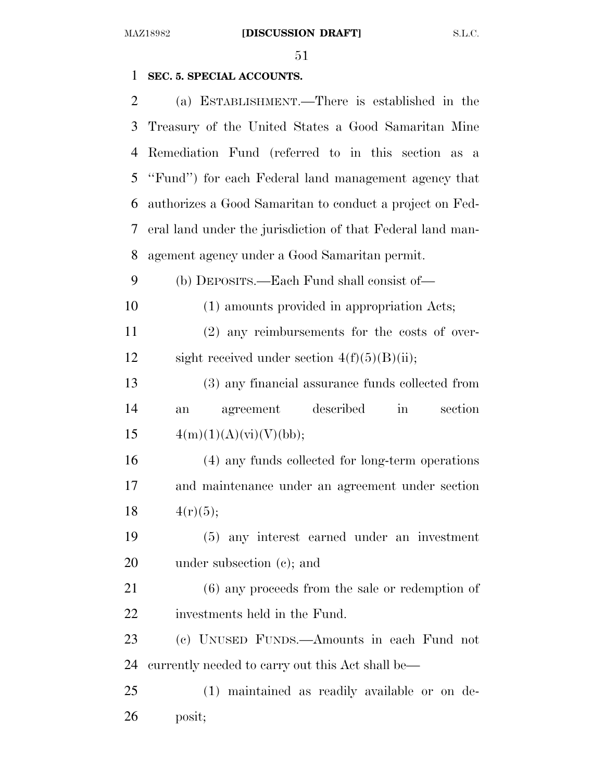## **SEC. 5. SPECIAL ACCOUNTS.**

| 2         | (a) ESTABLISHMENT.—There is established in the              |
|-----------|-------------------------------------------------------------|
| 3         | Treasury of the United States a Good Samaritan Mine         |
| 4         | Remediation Fund (referred to in this section as a          |
| 5         | "Fund") for each Federal land management agency that        |
| 6         | authorizes a Good Samaritan to conduct a project on Fed-    |
| 7         | eral land under the jurisdiction of that Federal land man-  |
| 8         | agement agency under a Good Samaritan permit.               |
| 9         | (b) DEPOSITS.—Each Fund shall consist of—                   |
| 10        | (1) amounts provided in appropriation Acts;                 |
| 11        | $(2)$ any reimbursements for the costs of over-             |
| 12        | sight received under section $4(f)(5)(B)(ii)$ ;             |
| 13        | (3) any financial assurance funds collected from            |
| 14        | agreement described<br>section<br>$\operatorname{in}$<br>an |
| 15        | 4(m)(1)(A)(vi)(V)(bb);                                      |
| 16        | (4) any funds collected for long-term operations            |
| 17        | and maintenance under an agreement under section            |
| 18        | 4(r)(5);                                                    |
| 19        | (5) any interest earned under an investment                 |
| 20        | under subsection $(c)$ ; and                                |
| 21        | $(6)$ any proceeds from the sale or redemption of           |
| <u>22</u> | investments held in the Fund.                               |
| 23        |                                                             |
|           | (c) UNUSED FUNDS.—Amounts in each Fund not                  |
| 24        | currently needed to carry out this Act shall be—            |
| 25        | (1) maintained as readily available or on de-               |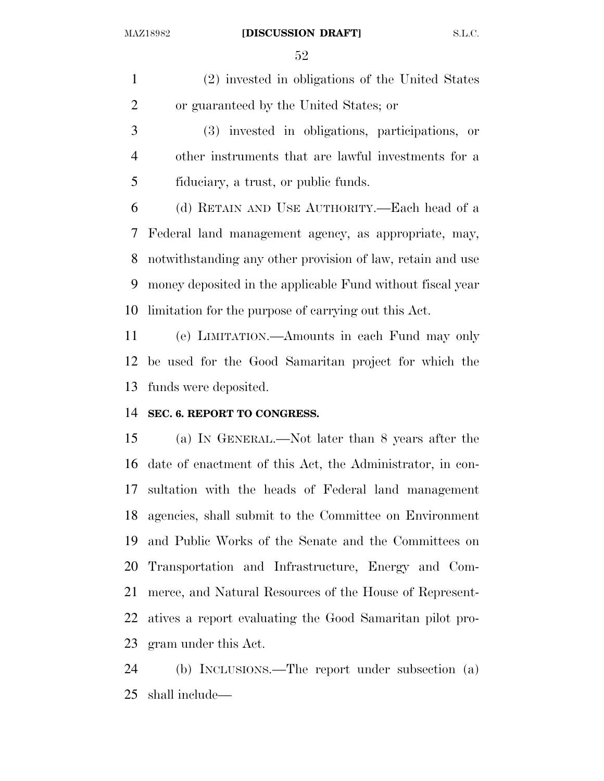#### MAZ18982 **[DISCUSSION DRAFT]** S.L.C.

 (2) invested in obligations of the United States or guaranteed by the United States; or

 (3) invested in obligations, participations, or other instruments that are lawful investments for a fiduciary, a trust, or public funds.

 (d) RETAIN AND USE AUTHORITY.—Each head of a Federal land management agency, as appropriate, may, notwithstanding any other provision of law, retain and use money deposited in the applicable Fund without fiscal year limitation for the purpose of carrying out this Act.

 (e) LIMITATION.—Amounts in each Fund may only be used for the Good Samaritan project for which the funds were deposited.

## **SEC. 6. REPORT TO CONGRESS.**

 (a) IN GENERAL.—Not later than 8 years after the date of enactment of this Act, the Administrator, in con- sultation with the heads of Federal land management agencies, shall submit to the Committee on Environment and Public Works of the Senate and the Committees on Transportation and Infrastructure, Energy and Com- merce, and Natural Resources of the House of Represent- atives a report evaluating the Good Samaritan pilot pro-gram under this Act.

 (b) INCLUSIONS.—The report under subsection (a) shall include—